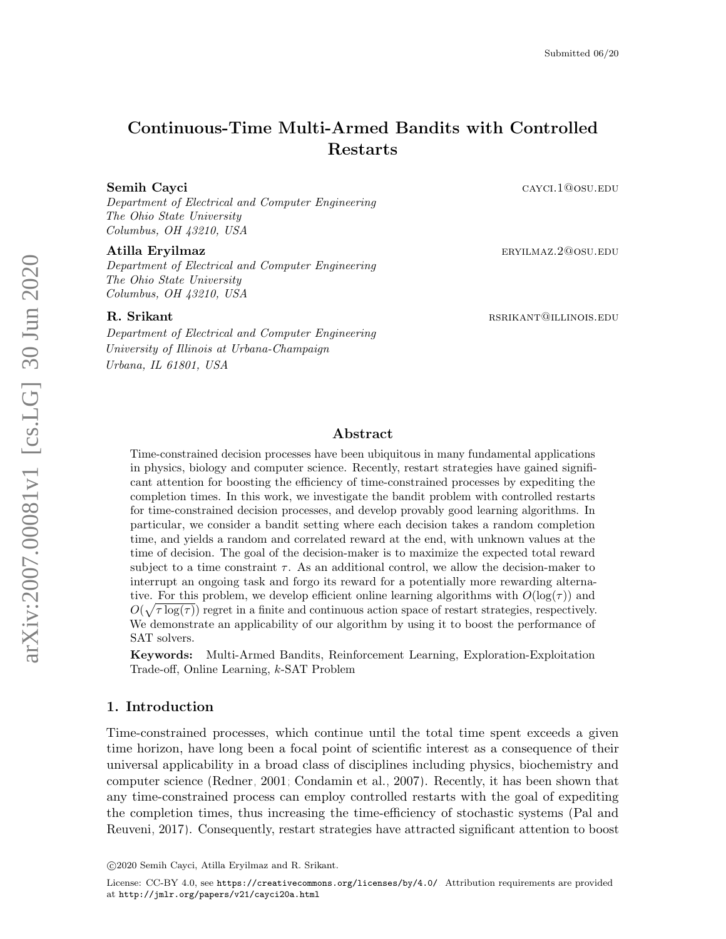# Continuous-Time Multi-Armed Bandits with Controlled Restarts

Semih Cayci caycing caycing the case of the case of the case of the case of the case of the case of the case of the case of the case of the case of the case of the case of the case of the case of the case of the case of th

Department of Electrical and Computer Engineering The Ohio State University Columbus, OH 43210, USA

Department of Electrical and Computer Engineering The Ohio State University Columbus, OH 43210, USA

Department of Electrical and Computer Engineering University of Illinois at Urbana-Champaign Urbana, IL 61801, USA

Atilla Eryilmaz eryinin az erviség a között egyik előletett egyik előletett egyik előletett egyik előletett egyik er

R. Srikant rspins and the contract of the contract of the results of the results of the results of the results of the results of the results of the results of the results of the results of the results of the results of the

## Abstract

Time-constrained decision processes have been ubiquitous in many fundamental applications in physics, biology and computer science. Recently, restart strategies have gained significant attention for boosting the efficiency of time-constrained processes by expediting the completion times. In this work, we investigate the bandit problem with controlled restarts for time-constrained decision processes, and develop provably good learning algorithms. In particular, we consider a bandit setting where each decision takes a random completion time, and yields a random and correlated reward at the end, with unknown values at the time of decision. The goal of the decision-maker is to maximize the expected total reward subject to a time constraint  $\tau$ . As an additional control, we allow the decision-maker to interrupt an ongoing task and forgo its reward for a potentially more rewarding alternative. For this problem, we develop efficient online learning algorithms with  $O(\log(\tau))$  and  $O(\sqrt{\tau \log(\tau)})$  regret in a finite and continuous action space of restart strategies, respectively. We demonstrate an applicability of our algorithm by using it to boost the performance of SAT solvers.

Keywords: Multi-Armed Bandits, Reinforcement Learning, Exploration-Exploitation Trade-off, Online Learning, k-SAT Problem

## 1. Introduction

Time-constrained processes, which continue until the total time spent exceeds a given time horizon, have long been a focal point of scientific interest as a consequence of their universal applicability in a broad class of disciplines including physics, biochemistry and computer science [\(Redner, 2001;](#page-27-0) [Condamin et al., 2007\)](#page-26-0). Recently, it has been shown that any time-constrained process can employ controlled restarts with the goal of expediting the completion times, thus increasing the time-efficiency of stochastic systems [\(Pal and](#page-27-1) [Reuveni, 2017\)](#page-27-1). Consequently, restart strategies have attracted significant attention to boost

c 2020 Semih Cayci, Atilla Eryilmaz and R. Srikant.

License: CC-BY 4.0, see <https://creativecommons.org/licenses/by/4.0/>. Attribution requirements are provided at <http://jmlr.org/papers/v21/cayci20a.html>.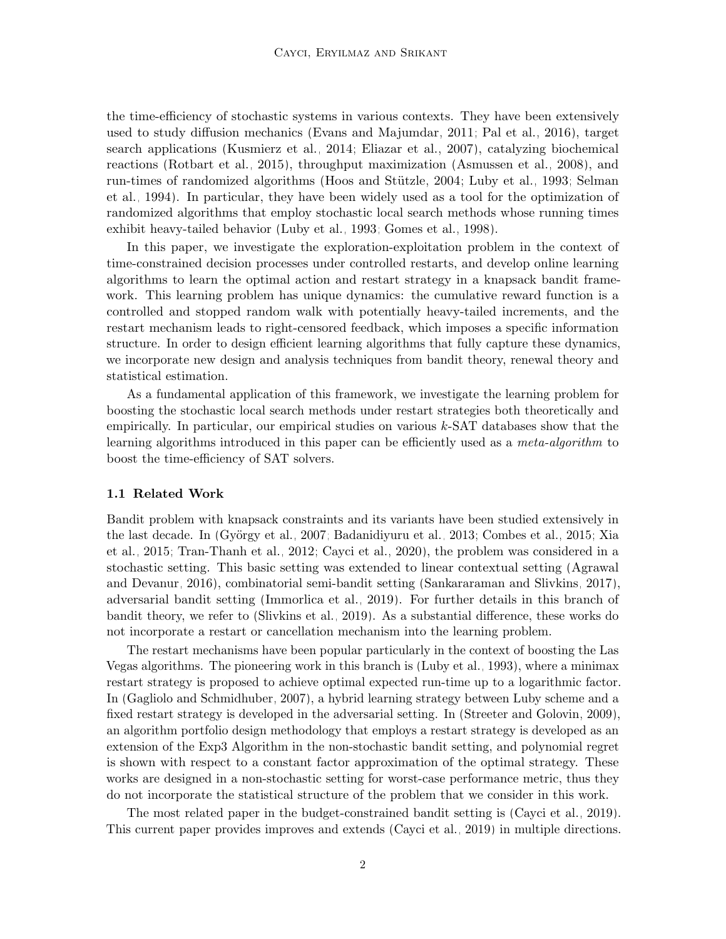the time-efficiency of stochastic systems in various contexts. They have been extensively used to study diffusion mechanics [\(Evans and Majumdar, 2011;](#page-26-1) [Pal et al., 2016\)](#page-27-2), target search applications [\(Kusmierz et al., 2014;](#page-27-3) [Eliazar et al., 2007\)](#page-26-2), catalyzing biochemical reactions [\(Rotbart et al., 2015\)](#page-28-0), throughput maximization [\(Asmussen et al., 2008\)](#page-26-3), and run-times of randomized algorithms (Hoos and Stützle, 2004; [Luby et al., 1993;](#page-27-5) [Selman](#page-28-1) [et al., 1994\)](#page-28-1). In particular, they have been widely used as a tool for the optimization of randomized algorithms that employ stochastic local search methods whose running times exhibit heavy-tailed behavior [\(Luby et al., 1993;](#page-27-5) [Gomes et al., 1998\)](#page-26-4).

In this paper, we investigate the exploration-exploitation problem in the context of time-constrained decision processes under controlled restarts, and develop online learning algorithms to learn the optimal action and restart strategy in a knapsack bandit framework. This learning problem has unique dynamics: the cumulative reward function is a controlled and stopped random walk with potentially heavy-tailed increments, and the restart mechanism leads to right-censored feedback, which imposes a specific information structure. In order to design efficient learning algorithms that fully capture these dynamics, we incorporate new design and analysis techniques from bandit theory, renewal theory and statistical estimation.

As a fundamental application of this framework, we investigate the learning problem for boosting the stochastic local search methods under restart strategies both theoretically and empirically. In particular, our empirical studies on various  $k$ -SAT databases show that the learning algorithms introduced in this paper can be efficiently used as a *meta-algorithm* to boost the time-efficiency of SAT solvers.

#### 1.1 Related Work

Bandit problem with knapsack constraints and its variants have been studied extensively in the last decade. In (György et al., 2007; [Badanidiyuru et al., 2013;](#page-26-6) [Combes et al., 2015;](#page-26-7) [Xia](#page-28-2) [et al., 2015;](#page-28-2) [Tran-Thanh et al., 2012;](#page-28-3) [Cayci et al., 2020\)](#page-26-8), the problem was considered in a stochastic setting. This basic setting was extended to linear contextual setting [\(Agrawal](#page-25-0) [and Devanur, 2016\)](#page-25-0), combinatorial semi-bandit setting [\(Sankararaman and Slivkins, 2017\)](#page-28-4), adversarial bandit setting [\(Immorlica et al., 2019\)](#page-27-6). For further details in this branch of bandit theory, we refer to [\(Slivkins et al., 2019\)](#page-28-5). As a substantial difference, these works do not incorporate a restart or cancellation mechanism into the learning problem.

The restart mechanisms have been popular particularly in the context of boosting the Las Vegas algorithms. The pioneering work in this branch is [\(Luby et al., 1993\)](#page-27-5), where a minimax restart strategy is proposed to achieve optimal expected run-time up to a logarithmic factor. In [\(Gagliolo and Schmidhuber, 2007\)](#page-26-9), a hybrid learning strategy between Luby scheme and a fixed restart strategy is developed in the adversarial setting. In [\(Streeter and Golovin, 2009\)](#page-28-6), an algorithm portfolio design methodology that employs a restart strategy is developed as an extension of the Exp3 Algorithm in the non-stochastic bandit setting, and polynomial regret is shown with respect to a constant factor approximation of the optimal strategy. These works are designed in a non-stochastic setting for worst-case performance metric, thus they do not incorporate the statistical structure of the problem that we consider in this work.

The most related paper in the budget-constrained bandit setting is [\(Cayci et al., 2019\)](#page-26-10). This current paper provides improves and extends [\(Cayci et al., 2019\)](#page-26-10) in multiple directions.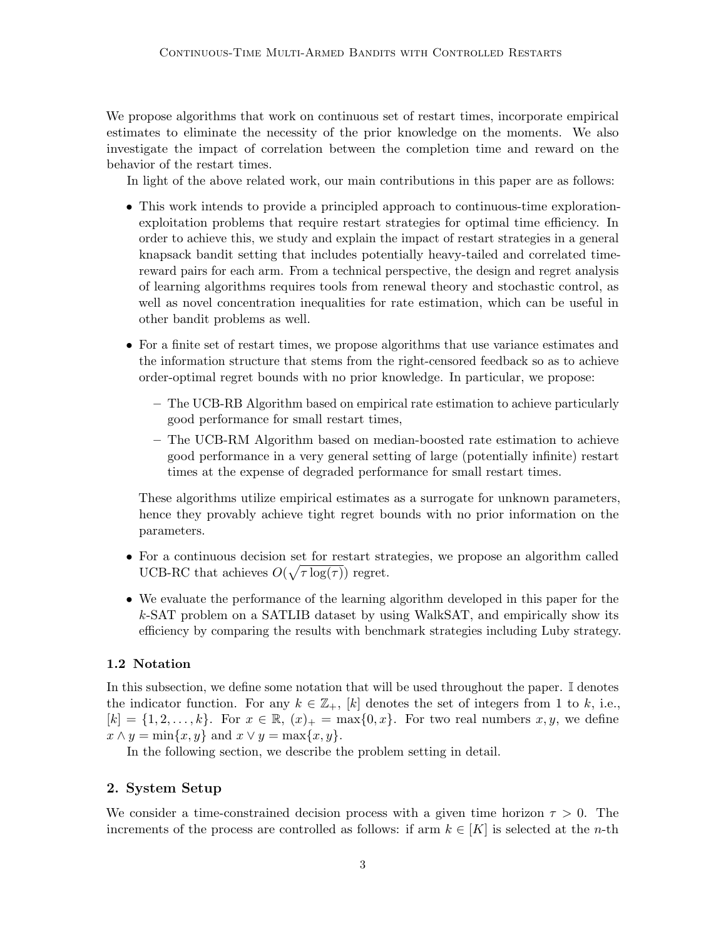We propose algorithms that work on continuous set of restart times, incorporate empirical estimates to eliminate the necessity of the prior knowledge on the moments. We also investigate the impact of correlation between the completion time and reward on the behavior of the restart times.

In light of the above related work, our main contributions in this paper are as follows:

- This work intends to provide a principled approach to continuous-time explorationexploitation problems that require restart strategies for optimal time efficiency. In order to achieve this, we study and explain the impact of restart strategies in a general knapsack bandit setting that includes potentially heavy-tailed and correlated timereward pairs for each arm. From a technical perspective, the design and regret analysis of learning algorithms requires tools from renewal theory and stochastic control, as well as novel concentration inequalities for rate estimation, which can be useful in other bandit problems as well.
- For a finite set of restart times, we propose algorithms that use variance estimates and the information structure that stems from the right-censored feedback so as to achieve order-optimal regret bounds with no prior knowledge. In particular, we propose:
	- The UCB-RB Algorithm based on empirical rate estimation to achieve particularly good performance for small restart times,
	- The UCB-RM Algorithm based on median-boosted rate estimation to achieve good performance in a very general setting of large (potentially infinite) restart times at the expense of degraded performance for small restart times.

These algorithms utilize empirical estimates as a surrogate for unknown parameters, hence they provably achieve tight regret bounds with no prior information on the parameters.

- For a continuous decision set for restart strategies, we propose an algorithm called UCB-RC that achieves  $O(\sqrt{\tau \log(\tau)})$  regret.
- We evaluate the performance of the learning algorithm developed in this paper for the k-SAT problem on a SATLIB dataset by using WalkSAT, and empirically show its efficiency by comparing the results with benchmark strategies including Luby strategy.

## 1.2 Notation

In this subsection, we define some notation that will be used throughout the paper. I denotes the indicator function. For any  $k \in \mathbb{Z}_+$ , [k] denotes the set of integers from 1 to k, i.e.,  $[k] = \{1, 2, \ldots, k\}$ . For  $x \in \mathbb{R}$ ,  $(x)_+ = \max\{0, x\}$ . For two real numbers  $x, y$ , we define  $x \wedge y = \min\{x, y\}$  and  $x \vee y = \max\{x, y\}.$ 

In the following section, we describe the problem setting in detail.

## <span id="page-2-0"></span>2. System Setup

We consider a time-constrained decision process with a given time horizon  $\tau > 0$ . The increments of the process are controlled as follows: if arm  $k \in [K]$  is selected at the *n*-th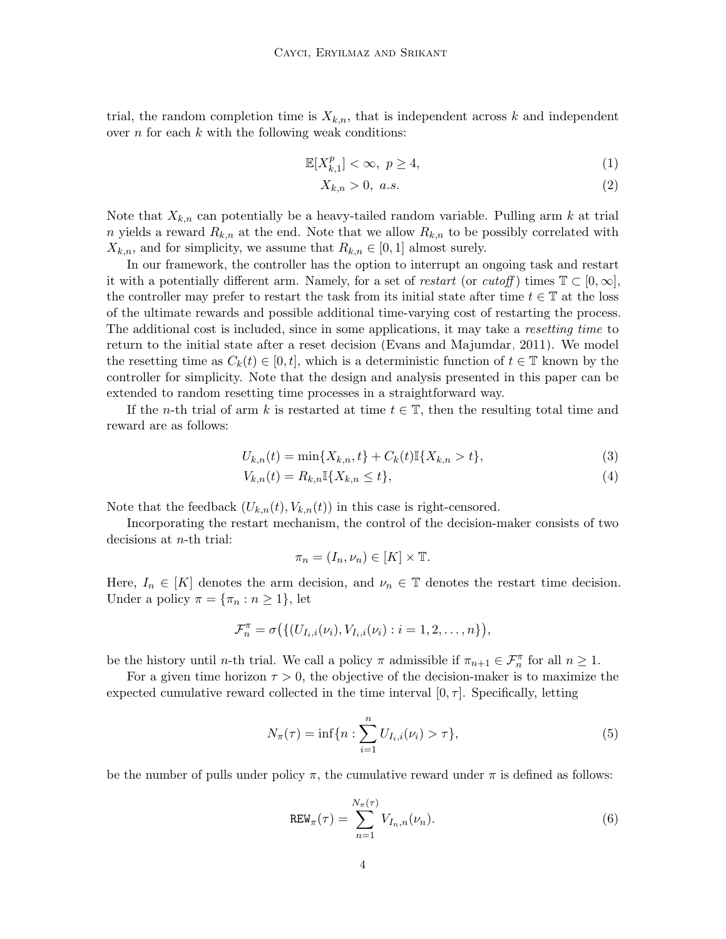trial, the random completion time is  $X_{k,n}$ , that is independent across k and independent over  $n$  for each  $k$  with the following weak conditions:

$$
\mathbb{E}[X_{k,1}^p] < \infty, \ p \ge 4,\tag{1}
$$

<span id="page-3-0"></span>
$$
X_{k,n} > 0, \ a.s. \tag{2}
$$

Note that  $X_{k,n}$  can potentially be a heavy-tailed random variable. Pulling arm k at trial n yields a reward  $R_{k,n}$  at the end. Note that we allow  $R_{k,n}$  to be possibly correlated with  $X_{k,n}$ , and for simplicity, we assume that  $R_{k,n} \in [0,1]$  almost surely.

In our framework, the controller has the option to interrupt an ongoing task and restart it with a potentially different arm. Namely, for a set of restart (or cutoff) times  $\mathbb{T} \subset [0,\infty]$ , the controller may prefer to restart the task from its initial state after time  $t \in \mathbb{T}$  at the loss of the ultimate rewards and possible additional time-varying cost of restarting the process. The additional cost is included, since in some applications, it may take a resetting time to return to the initial state after a reset decision [\(Evans and Majumdar, 2011\)](#page-26-1). We model the resetting time as  $C_k(t) \in [0, t]$ , which is a deterministic function of  $t \in \mathbb{T}$  known by the controller for simplicity. Note that the design and analysis presented in this paper can be extended to random resetting time processes in a straightforward way.

If the *n*-th trial of arm k is restarted at time  $t \in \mathbb{T}$ , then the resulting total time and reward are as follows:

$$
U_{k,n}(t) = \min\{X_{k,n}, t\} + C_k(t)\mathbb{I}\{X_{k,n} > t\},\tag{3}
$$

$$
V_{k,n}(t) = R_{k,n} \mathbb{I}\{X_{k,n} \le t\},\tag{4}
$$

Note that the feedback  $(U_{k,n}(t), V_{k,n}(t))$  in this case is right-censored.

Incorporating the restart mechanism, the control of the decision-maker consists of two decisions at n-th trial:

<span id="page-3-1"></span>
$$
\pi_n = (I_n, \nu_n) \in [K] \times \mathbb{T}.
$$

Here,  $I_n \in [K]$  denotes the arm decision, and  $\nu_n \in \mathbb{T}$  denotes the restart time decision. Under a policy  $\pi = {\pi_n : n \geq 1}$ , let

$$
\mathcal{F}_n^{\pi} = \sigma\big(\{(U_{I_i,i}(\nu_i), V_{I_i,i}(\nu_i) : i = 1, 2, \ldots, n)\},\
$$

be the history until *n*-th trial. We call a policy  $\pi$  admissible if  $\pi_{n+1} \in \mathcal{F}_n^{\pi}$  for all  $n \geq 1$ .

For a given time horizon  $\tau > 0$ , the objective of the decision-maker is to maximize the expected cumulative reward collected in the time interval  $[0, \tau]$ . Specifically, letting

$$
N_{\pi}(\tau) = \inf \{ n : \sum_{i=1}^{n} U_{I_i, i}(\nu_i) > \tau \},\tag{5}
$$

be the number of pulls under policy  $\pi$ , the cumulative reward under  $\pi$  is defined as follows:

$$
REW_{\pi}(\tau) = \sum_{n=1}^{N_{\pi}(\tau)} V_{I_n, n}(\nu_n).
$$
 (6)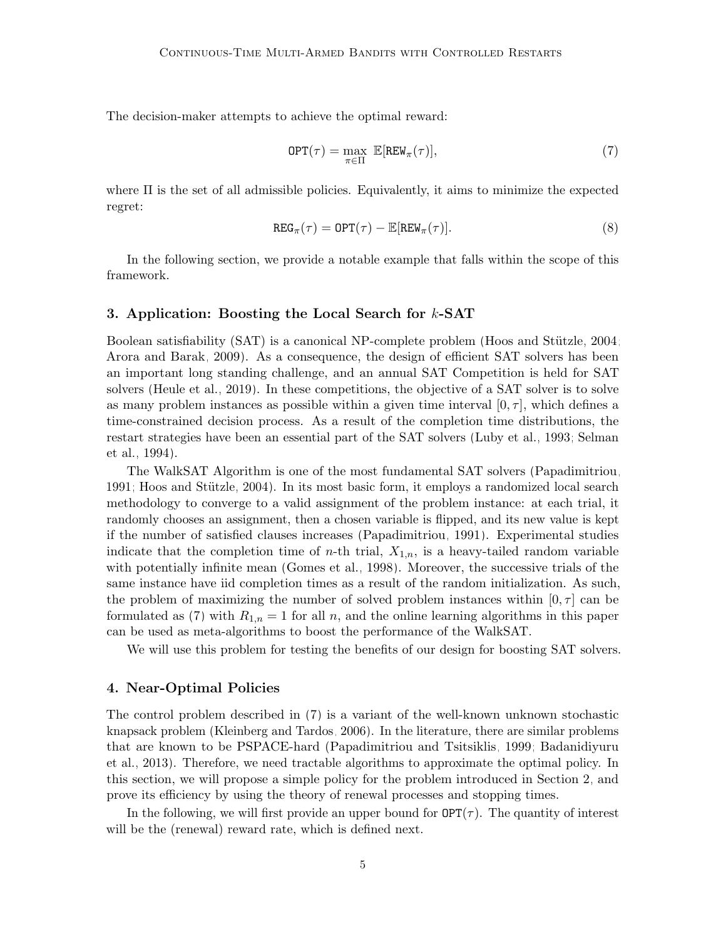The decision-maker attempts to achieve the optimal reward:

<span id="page-4-0"></span>
$$
\text{OPT}(\tau) = \max_{\pi \in \Pi} \ \mathbb{E}[\text{REW}_{\pi}(\tau)],\tag{7}
$$

where Π is the set of all admissible policies. Equivalently, it aims to minimize the expected regret:

$$
\text{REG}_{\pi}(\tau) = \text{OPT}(\tau) - \mathbb{E}[\text{REW}_{\pi}(\tau)]. \tag{8}
$$

In the following section, we provide a notable example that falls within the scope of this framework.

#### <span id="page-4-1"></span>3. Application: Boosting the Local Search for k-SAT

Boolean satisfiability (SAT) is a canonical NP-complete problem (Hoos and Stützle, 2004; [Arora and Barak, 2009\)](#page-25-1). As a consequence, the design of efficient SAT solvers has been an important long standing challenge, and an annual SAT Competition is held for SAT solvers [\(Heule et al., 2019\)](#page-27-7). In these competitions, the objective of a SAT solver is to solve as many problem instances as possible within a given time interval  $[0, \tau]$ , which defines a time-constrained decision process. As a result of the completion time distributions, the restart strategies have been an essential part of the SAT solvers [\(Luby et al., 1993;](#page-27-5) [Selman](#page-28-1) [et al., 1994\)](#page-28-1).

The WalkSAT Algorithm is one of the most fundamental SAT solvers [\(Papadimitriou,](#page-27-8) [1991;](#page-27-8) Hoos and Stützle, 2004). In its most basic form, it employs a randomized local search methodology to converge to a valid assignment of the problem instance: at each trial, it randomly chooses an assignment, then a chosen variable is flipped, and its new value is kept if the number of satisfied clauses increases [\(Papadimitriou, 1991\)](#page-27-8). Experimental studies indicate that the completion time of *n*-th trial,  $X_{1,n}$ , is a heavy-tailed random variable with potentially infinite mean [\(Gomes et al., 1998\)](#page-26-4). Moreover, the successive trials of the same instance have iid completion times as a result of the random initialization. As such, the problem of maximizing the number of solved problem instances within  $[0, \tau]$  can be formulated as [\(7\)](#page-4-0) with  $R_{1,n} = 1$  for all n, and the online learning algorithms in this paper can be used as meta-algorithms to boost the performance of the WalkSAT.

We will use this problem for testing the benefits of our design for boosting SAT solvers.

#### 4. Near-Optimal Policies

The control problem described in [\(7\)](#page-4-0) is a variant of the well-known unknown stochastic knapsack problem [\(Kleinberg and Tardos, 2006\)](#page-27-9). In the literature, there are similar problems that are known to be PSPACE-hard [\(Papadimitriou and Tsitsiklis, 1999;](#page-27-10) [Badanidiyuru](#page-26-6) [et al., 2013\)](#page-26-6). Therefore, we need tractable algorithms to approximate the optimal policy. In this section, we will propose a simple policy for the problem introduced in Section [2,](#page-2-0) and prove its efficiency by using the theory of renewal processes and stopping times.

In the following, we will first provide an upper bound for  $\text{OPT}(\tau)$ . The quantity of interest will be the (renewal) reward rate, which is defined next.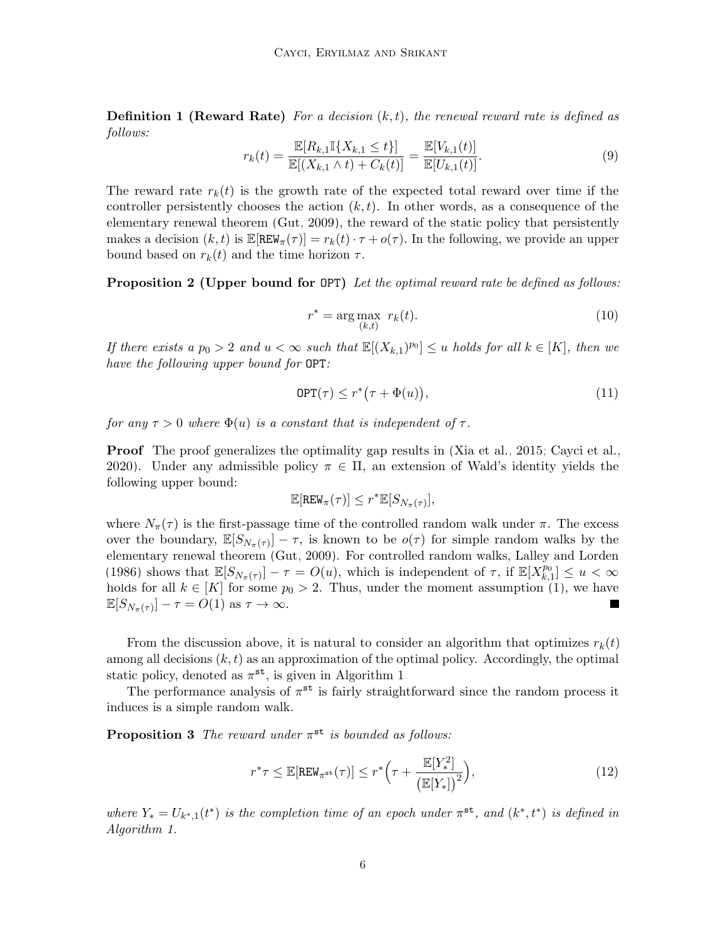<span id="page-5-0"></span>**Definition 1 (Reward Rate)** For a decision  $(k, t)$ , the renewal reward rate is defined as follows:

$$
r_k(t) = \frac{\mathbb{E}[R_{k,1}\mathbb{I}\{X_{k,1} \le t\}]}{\mathbb{E}[(X_{k,1} \wedge t) + C_k(t)]} = \frac{\mathbb{E}[V_{k,1}(t)]}{\mathbb{E}[U_{k,1}(t)]}.
$$
\n(9)

The reward rate  $r_k(t)$  is the growth rate of the expected total reward over time if the controller persistently chooses the action  $(k, t)$ . In other words, as a consequence of the elementary renewal theorem [\(Gut, 2009\)](#page-26-11), the reward of the static policy that persistently makes a decision  $(k, t)$  is  $\mathbb{E}[\text{REW}_{\pi}(\tau)] = r_k(t) \cdot \tau + o(\tau)$ . In the following, we provide an upper bound based on  $r_k(t)$  and the time horizon  $\tau$ .

**Proposition 2 (Upper bound for OPT)** Let the optimal reward rate be defined as follows:

<span id="page-5-2"></span>
$$
r^* = \underset{(k,t)}{\text{arg max}} r_k(t). \tag{10}
$$

If there exists a  $p_0 > 2$  and  $u < \infty$  such that  $\mathbb{E}[(X_{k,1})^{p_0}] \leq u$  holds for all  $k \in [K]$ , then we have the following upper bound for OPT:

$$
\text{OPT}(\tau) \le r^*(\tau + \Phi(u)),\tag{11}
$$

for any  $\tau > 0$  where  $\Phi(u)$  is a constant that is independent of  $\tau$ .

Proof The proof generalizes the optimality gap results in [\(Xia et al., 2015;](#page-28-2) [Cayci et al.,](#page-26-8) [2020\)](#page-26-8). Under any admissible policy  $\pi \in \Pi$ , an extension of Wald's identity yields the following upper bound:

$$
\mathbb{E}[\texttt{REW}_{\pi}(\tau)] \leq r^* \mathbb{E}[S_{N_{\pi}(\tau)}],
$$

where  $N_{\pi}(\tau)$  is the first-passage time of the controlled random walk under  $\pi$ . The excess over the boundary,  $\mathbb{E}[S_{N_{\pi}(\tau)}] - \tau$ , is known to be  $o(\tau)$  for simple random walks by the elementary renewal theorem [\(Gut, 2009\)](#page-26-11). For controlled random walks, [Lalley and Lorden](#page-27-11) [\(1986\)](#page-27-11) shows that  $\mathbb{E}[S_{N_{\pi}(\tau)}] - \tau = O(u)$ , which is independent of  $\tau$ , if  $\mathbb{E}[X_{k,\tau}^{p_0}]$  $_{k,1}^{p_0}]\leq u<\infty$ holds for all  $k \in [K]$  for some  $p_0 > 2$ . Thus, under the moment assumption [\(1\)](#page-3-0), we have  $\mathbb{E}[S_{N_{\pi}(\tau)}]-\tau=O(1)$  as  $\tau\to\infty$ .

From the discussion above, it is natural to consider an algorithm that optimizes  $r_k(t)$ among all decisions  $(k, t)$  as an approximation of the optimal policy. Accordingly, the optimal static policy, denoted as  $\pi^{\text{st}}$ , is given in Algorithm [1.](#page-6-0)

The performance analysis of  $\pi^{\text{st}}$  is fairly straightforward since the random process it induces is a simple random walk.

**Proposition 3** The reward under  $\pi^{\text{st}}$  is bounded as follows:

<span id="page-5-1"></span>
$$
r^*\tau \le \mathbb{E}[\text{REW}_{\pi^{\text{st}}}(\tau)] \le r^*\Big(\tau + \frac{\mathbb{E}[Y_*^2]}{\big(\mathbb{E}[Y_*]\big)^2}\Big),\tag{12}
$$

where  $Y_* = U_{k^*,1}(t^*)$  is the completion time of an epoch under  $\pi^{\text{st}}$ , and  $(k^*, t^*)$  is defined in Algorithm [1.](#page-6-0)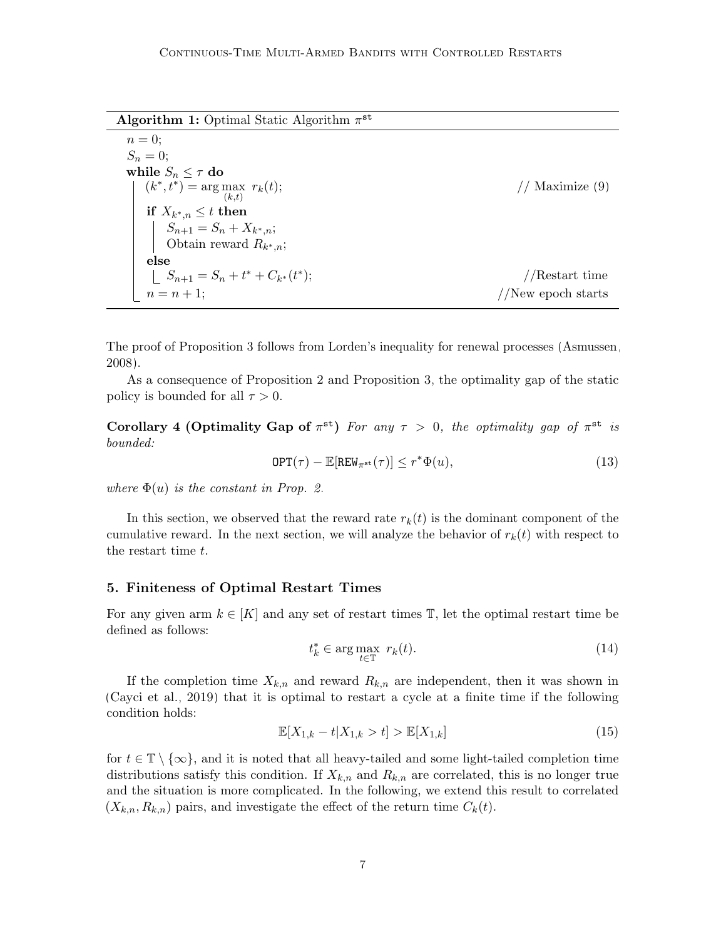Algorithm 1: Optimal Static Algorithm  $\pi^{\text{st}}$ 

 $n = 0$ :  $S_n = 0;$ while  $S_n \leq \tau$  do  $(k^*, t^*) = \arg \max$  $(k,t)$ // Maximize  $(9)$ if  $X_{k^*,n} \leq t$  then  $S_{n+1} = S_n + X_{k^*,n};$ Obtain reward  $R_{k^*,n}$ ; else  $S_{n+1} = S_n + t^* + C_{k^*}(t^*)$  $//$ Restart time  $n = n + 1;$  //New epoch starts

<span id="page-6-0"></span>The proof of Proposition [3](#page-5-1) follows from Lorden's inequality for renewal processes [\(Asmussen,](#page-25-2) [2008\)](#page-25-2).

As a consequence of Proposition [2](#page-5-2) and Proposition [3,](#page-5-1) the optimality gap of the static policy is bounded for all  $\tau > 0$ .

Corollary 4 (Optimality Gap of  $\pi^{\text{st}}$ ) For any  $\tau > 0$ , the optimality gap of  $\pi^{\text{st}}$  is bounded:

$$
\text{OPT}(\tau) - \mathbb{E}[\text{REW}_{\pi^{\text{st}}}(\tau)] \le r^* \Phi(u),\tag{13}
$$

where  $\Phi(u)$  is the constant in Prop. [2.](#page-5-2)

In this section, we observed that the reward rate  $r_k(t)$  is the dominant component of the cumulative reward. In the next section, we will analyze the behavior of  $r_k(t)$  with respect to the restart time t.

#### <span id="page-6-3"></span>5. Finiteness of Optimal Restart Times

For any given arm  $k \in [K]$  and any set of restart times  $\mathbb{T}$ , let the optimal restart time be defined as follows:

$$
t_k^* \in \arg\max_{t \in \mathbb{T}} r_k(t). \tag{14}
$$

If the completion time  $X_{k,n}$  and reward  $R_{k,n}$  are independent, then it was shown in [\(Cayci et al., 2019\)](#page-26-10) that it is optimal to restart a cycle at a finite time if the following condition holds:

<span id="page-6-2"></span>
$$
\mathbb{E}[X_{1,k} - t | X_{1,k} > t] > \mathbb{E}[X_{1,k}]
$$
\n(15)

<span id="page-6-1"></span>for  $t \in \mathbb{T} \setminus \{\infty\}$ , and it is noted that all heavy-tailed and some light-tailed completion time distributions satisfy this condition. If  $X_{k,n}$  and  $R_{k,n}$  are correlated, this is no longer true and the situation is more complicated. In the following, we extend this result to correlated  $(X_{k,n}, R_{k,n})$  pairs, and investigate the effect of the return time  $C_k(t)$ .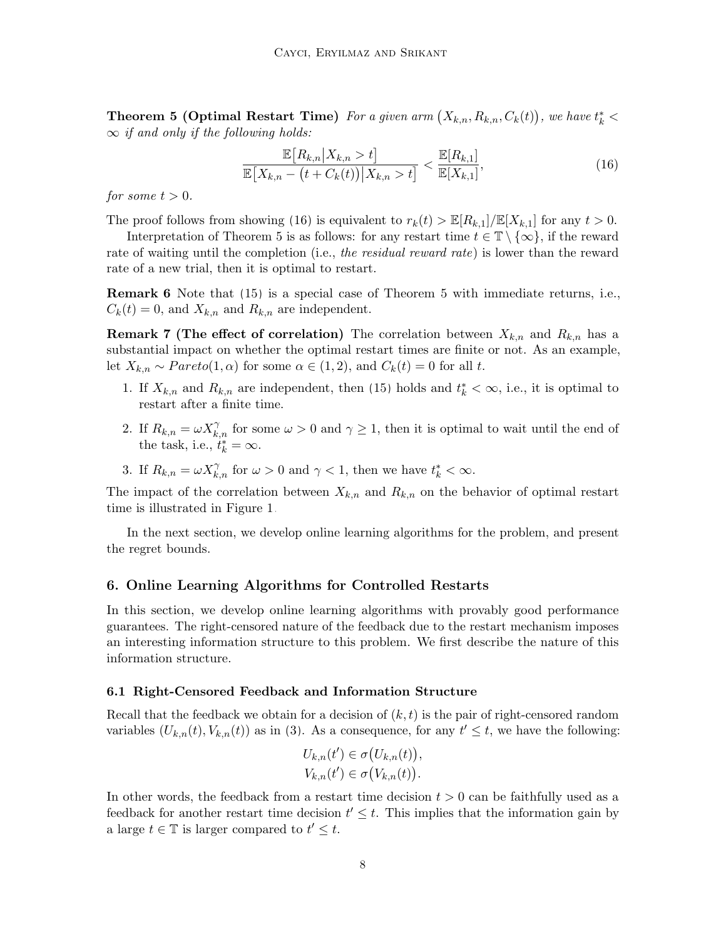**Theorem 5 (Optimal Restart Time)** For a given arm  $(X_{k,n}, R_{k,n}, C_k(t))$ , we have  $t_k^*$  <  $\infty$  if and only if the following holds:

<span id="page-7-0"></span>
$$
\frac{\mathbb{E}[R_{k,n}|X_{k,n} > t]}{\mathbb{E}[X_{k,n} - (t + C_k(t))|X_{k,n} > t]} < \frac{\mathbb{E}[R_{k,1}]}{\mathbb{E}[X_{k,1}]},\tag{16}
$$

for some  $t > 0$ .

The proof follows from showing [\(16\)](#page-7-0) is equivalent to  $r_k(t) > \mathbb{E}[R_{k,1}]/\mathbb{E}[X_{k,1}]$  for any  $t > 0$ .

Interpretation of Theorem [5](#page-6-1) is as follows: for any restart time  $t \in \mathbb{T} \setminus \{\infty\}$ , if the reward rate of waiting until the completion (i.e., the residual reward rate) is lower than the reward rate of a new trial, then it is optimal to restart.

Remark 6 Note that [\(15\)](#page-6-2) is a special case of Theorem [5](#page-6-1) with immediate returns, i.e.,  $C_k(t) = 0$ , and  $X_{k,n}$  and  $R_{k,n}$  are independent.

**Remark 7 (The effect of correlation)** The correlation between  $X_{k,n}$  and  $R_{k,n}$  has a substantial impact on whether the optimal restart times are finite or not. As an example, let  $X_{k,n} \sim Pareto(1,\alpha)$  for some  $\alpha \in (1,2)$ , and  $C_k(t) = 0$  for all t.

- 1. If  $X_{k,n}$  and  $R_{k,n}$  are independent, then [\(15\)](#page-6-2) holds and  $t_k^* < \infty$ , i.e., it is optimal to restart after a finite time.
- 2. If  $R_{k,n} = \omega X_{k,n}^{\gamma}$  for some  $\omega > 0$  and  $\gamma \geq 1$ , then it is optimal to wait until the end of the task, i.e.,  $t_k^* = \infty$ .
- 3. If  $R_{k,n} = \omega X_{k,n}^{\gamma}$  for  $\omega > 0$  and  $\gamma < 1$ , then we have  $t_k^* < \infty$ .

The impact of the correlation between  $X_{k,n}$  and  $R_{k,n}$  on the behavior of optimal restart time is illustrated in Figure [1.](#page-8-0)

In the next section, we develop online learning algorithms for the problem, and present the regret bounds.

## 6. Online Learning Algorithms for Controlled Restarts

In this section, we develop online learning algorithms with provably good performance guarantees. The right-censored nature of the feedback due to the restart mechanism imposes an interesting information structure to this problem. We first describe the nature of this information structure.

#### <span id="page-7-1"></span>6.1 Right-Censored Feedback and Information Structure

Recall that the feedback we obtain for a decision of  $(k, t)$  is the pair of right-censored random variables  $(U_{k,n}(t), V_{k,n}(t))$  as in [\(3\)](#page-3-1). As a consequence, for any  $t' \leq t$ , we have the following:

$$
U_{k,n}(t') \in \sigma(U_{k,n}(t)),
$$
  

$$
V_{k,n}(t') \in \sigma(V_{k,n}(t)).
$$

In other words, the feedback from a restart time decision  $t > 0$  can be faithfully used as a feedback for another restart time decision  $t' \leq t$ . This implies that the information gain by a large  $t \in \mathbb{T}$  is larger compared to  $t' \leq t$ .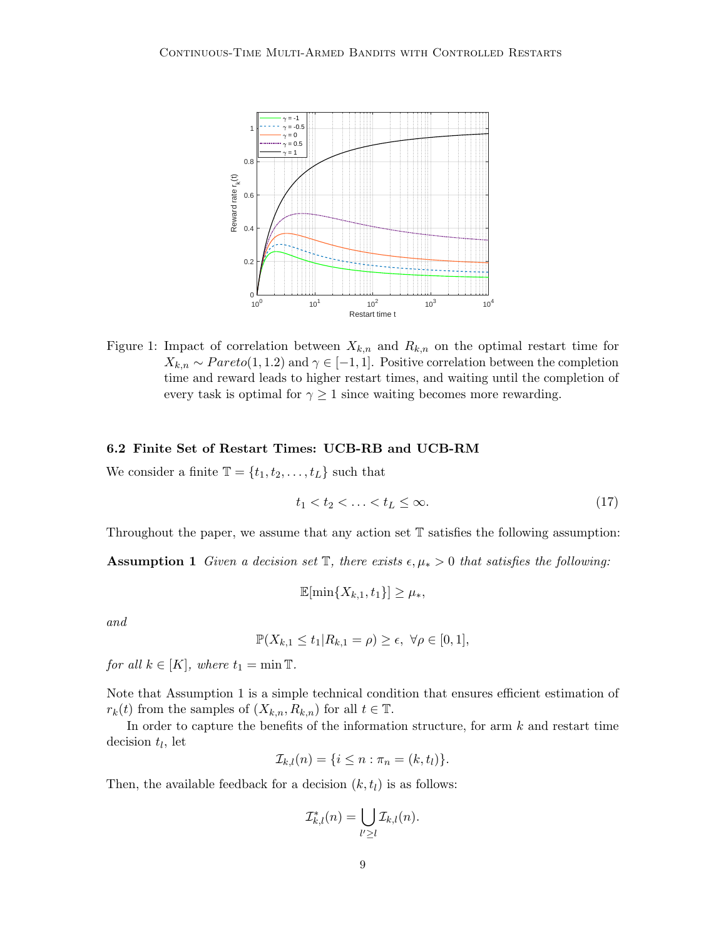

<span id="page-8-0"></span>Figure 1: Impact of correlation between  $X_{k,n}$  and  $R_{k,n}$  on the optimal restart time for  $X_{k,n} \sim Pareto(1,1.2)$  and  $\gamma \in [-1,1]$ . Positive correlation between the completion time and reward leads to higher restart times, and waiting until the completion of every task is optimal for  $\gamma \geq 1$  since waiting becomes more rewarding.

## 6.2 Finite Set of Restart Times: UCB-RB and UCB-RM

We consider a finite  $\mathbb{T} = \{t_1, t_2, \dots, t_L\}$  such that

<span id="page-8-1"></span>
$$
t_1 < t_2 < \ldots < t_L \leq \infty. \tag{17}
$$

Throughout the paper, we assume that any action set T satisfies the following assumption:

**Assumption 1** Given a decision set  $\mathbb{T}$ , there exists  $\epsilon, \mu_* > 0$  that satisfies the following:

$$
\mathbb{E}[\min\{X_{k,1}, t_1\}] \geq \mu_*,
$$

and

$$
\mathbb{P}(X_{k,1} \le t_1 | R_{k,1} = \rho) \ge \epsilon, \ \forall \rho \in [0,1],
$$

for all  $k \in [K]$ , where  $t_1 = \min \mathbb{T}$ .

Note that Assumption [1](#page-8-1) is a simple technical condition that ensures efficient estimation of  $r_k(t)$  from the samples of  $(X_{k,n}, R_{k,n})$  for all  $t \in \mathbb{T}$ .

In order to capture the benefits of the information structure, for arm  $k$  and restart time decision  $t_l$ , let

$$
\mathcal{I}_{k,l}(n) = \{i \leq n : \pi_n = (k, t_l)\}.
$$

Then, the available feedback for a decision  $(k, t<sub>l</sub>)$  is as follows:

$$
\mathcal{I}_{k,l}^*(n) = \bigcup_{l'\geq l} \mathcal{I}_{k,l}(n).
$$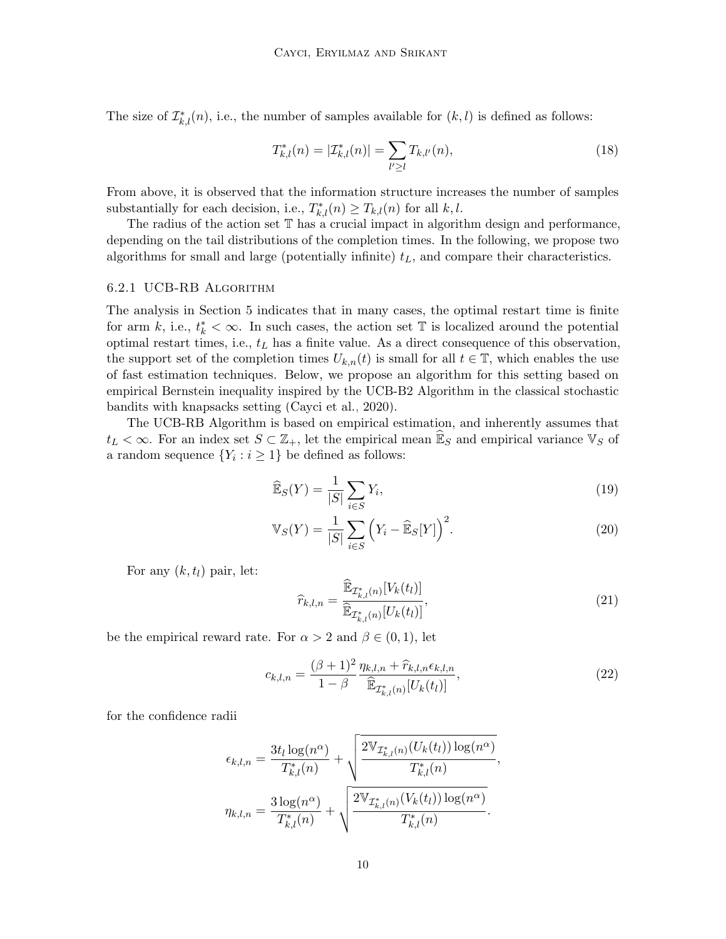The size of  $\mathcal{I}_{k,l}^*(n)$ , i.e., the number of samples available for  $(k, l)$  is defined as follows:

$$
T_{k,l}^*(n) = |\mathcal{I}_{k,l}^*(n)| = \sum_{l' \ge l} T_{k,l'}(n), \qquad (18)
$$

From above, it is observed that the information structure increases the number of samples substantially for each decision, i.e.,  $T_{k,l}^*(n) \geq T_{k,l}(n)$  for all  $k, l$ .

The radius of the action set T has a crucial impact in algorithm design and performance, depending on the tail distributions of the completion times. In the following, we propose two algorithms for small and large (potentially infinite)  $t<sub>L</sub>$ , and compare their characteristics.

#### 6.2.1 UCB-RB Algorithm

The analysis in Section [5](#page-6-3) indicates that in many cases, the optimal restart time is finite for arm k, i.e.,  $t_k^* < \infty$ . In such cases, the action set T is localized around the potential optimal restart times, i.e.,  $t_L$  has a finite value. As a direct consequence of this observation, the support set of the completion times  $U_{k,n}(t)$  is small for all  $t \in \mathbb{T}$ , which enables the use of fast estimation techniques. Below, we propose an algorithm for this setting based on empirical Bernstein inequality inspired by the UCB-B2 Algorithm in the classical stochastic bandits with knapsacks setting [\(Cayci et al., 2020\)](#page-26-8).

The UCB-RB Algorithm is based on empirical estimation, and inherently assumes that  $t_L < \infty$ . For an index set  $S \subset \mathbb{Z}_+$ , let the empirical mean  $\mathbb{E}_S$  and empirical variance  $\mathbb{V}_S$  of a random sequence  $\{Y_i : i \geq 1\}$  be defined as follows:

$$
\widehat{\mathbb{E}}_S(Y) = \frac{1}{|S|} \sum_{i \in S} Y_i,\tag{19}
$$

$$
\mathbb{V}_S(Y) = \frac{1}{|S|} \sum_{i \in S} \left( Y_i - \widehat{\mathbb{E}}_S[Y] \right)^2.
$$
 (20)

For any  $(k, t_l)$  pair, let:

<span id="page-9-3"></span><span id="page-9-2"></span><span id="page-9-1"></span><span id="page-9-0"></span>
$$
\widehat{r}_{k,l,n} = \frac{\widehat{\mathbb{E}}_{\mathcal{I}_{k,l}^*(n)}[V_k(t_l)]}{\widehat{\mathbb{E}}_{\mathcal{I}_{k,l}^*(n)}[U_k(t_l)]},\tag{21}
$$

be the empirical reward rate. For  $\alpha > 2$  and  $\beta \in (0,1)$ , let

$$
c_{k,l,n} = \frac{(\beta + 1)^2}{1 - \beta} \frac{\eta_{k,l,n} + \hat{r}_{k,l,n} \epsilon_{k,l,n}}{\hat{\mathbb{E}}_{\mathcal{I}_{k,l}^*(n)}[U_k(t_l)]},
$$
(22)

for the confidence radii

$$
\epsilon_{k,l,n} = \frac{3t_l \log(n^{\alpha})}{T_{k,l}^*(n)} + \sqrt{\frac{2 \mathbb{V}_{T_{k,l}^*(n)}(U_k(t_l)) \log(n^{\alpha})}{T_{k,l}^*(n)}},
$$

$$
\eta_{k,l,n} = \frac{3 \log(n^{\alpha})}{T_{k,l}^*(n)} + \sqrt{\frac{2 \mathbb{V}_{T_{k,l}^*(n)}(V_k(t_l)) \log(n^{\alpha})}{T_{k,l}^*(n)}}.
$$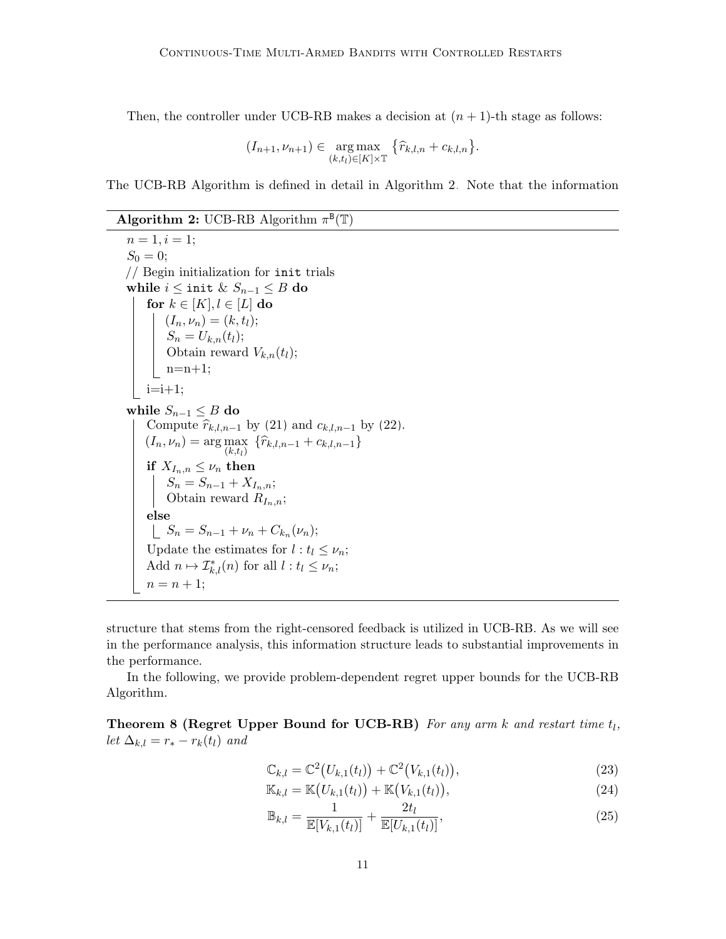Then, the controller under UCB-RB makes a decision at  $(n + 1)$ -th stage as follows:

$$
(I_{n+1}, \nu_{n+1}) \in \underset{(k,t_l) \in [K] \times \mathbb{T}}{\arg \max} {\{\hat{r}_{k,l,n} + c_{k,l,n}\}}.
$$

The UCB-RB Algorithm is defined in detail in Algorithm [2.](#page-10-0) Note that the information

## Algorithm 2: UCB-RB Algorithm  $\pi^B(\mathbb{T})$

```
n = 1, i = 1;S_0 = 0;// Begin initialization for init trials
while i ≤ init & S_{n-1} ≤ B do
    for k \in [K], l \in [L] do
         (I_n, \nu_n) = (k, t_l);S_n = U_{k,n}(t_l);Obtain reward V_{k,n}(t_l);
         n=n+1;i=i+1;while S_{n-1} \leq B do
    Compute \hat{r}_{k,l,n-1}(21) and c_{k,l,n-1}(22).
    (I_n, \nu_n) = \arg \max_{(k,t_l)} \{\hat{r}_{k,l,n-1} + c_{k,l,n-1}\}if X_{I_n,n}\leq\nu_n then
         S_n = S_{n-1} + X_{I_n,n};Obtain reward R_{I_n,n};
     else
         S_n = S_{n-1} + \nu_n + C_{k_n}(\nu_n);Update the estimates for l : t_l \leq \nu_n;
    Add n \mapsto \mathcal{I}_{k,l}^*(n) for all l : t_l \leq \nu_n;
    n = n + 1;
```
<span id="page-10-0"></span>structure that stems from the right-censored feedback is utilized in UCB-RB. As we will see in the performance analysis, this information structure leads to substantial improvements in the performance.

In the following, we provide problem-dependent regret upper bounds for the UCB-RB Algorithm.

<span id="page-10-1"></span>Theorem 8 (Regret Upper Bound for UCB-RB) For any arm  $k$  and restart time  $t_l$ , let  $\Delta_{k,l} = r_* - r_k(t_l)$  and

$$
\mathbb{C}_{k,l} = \mathbb{C}^2(U_{k,1}(t_l)) + \mathbb{C}^2(V_{k,1}(t_l)),
$$
\n(23)

$$
\mathbb{K}_{k,l} = \mathbb{K}\big(U_{k,1}(t_l)\big) + \mathbb{K}\big(V_{k,1}(t_l)\big),\tag{24}
$$

$$
\mathbb{B}_{k,l} = \frac{1}{\mathbb{E}[V_{k,1}(t_l)]} + \frac{2t_l}{\mathbb{E}[U_{k,1}(t_l)]},
$$
\n(25)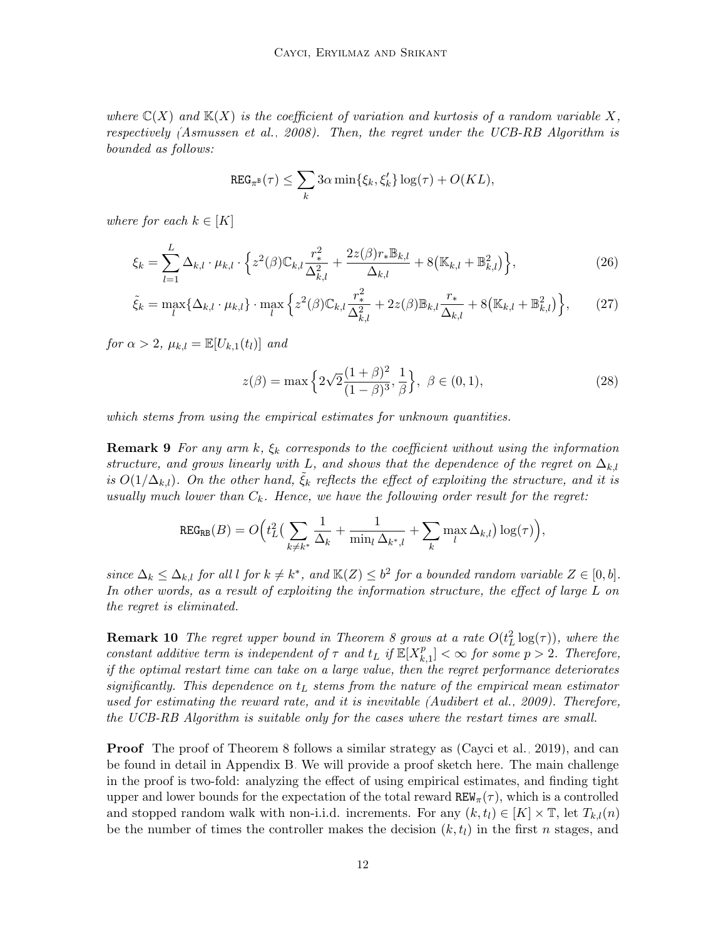where  $\mathbb{C}(X)$  and  $\mathbb{K}(X)$  is the coefficient of variation and kurtosis of a random variable X, respectively [\(Asmussen et al., 2008\)](#page-26-3). Then, the regret under the UCB-RB Algorithm is bounded as follows:

$$
\texttt{REG}_{\pi^{\texttt{B}}}(\tau) \leq \sum_{k} 3\alpha \min\{\xi_k, \xi'_k\} \log(\tau) + O(KL),
$$

where for each  $k \in [K]$ 

$$
\xi_k = \sum_{l=1}^L \Delta_{k,l} \cdot \mu_{k,l} \cdot \left\{ z^2(\beta) \mathbb{C}_{k,l} \frac{r_*^2}{\Delta_{k,l}^2} + \frac{2z(\beta)r_* \mathbb{B}_{k,l}}{\Delta_{k,l}} + 8(\mathbb{K}_{k,l} + \mathbb{B}_{k,l}^2) \right\},\tag{26}
$$

$$
\tilde{\xi}_k = \max_l \{ \Delta_{k,l} \cdot \mu_{k,l} \} \cdot \max_l \left\{ z^2(\beta) \mathbb{C}_{k,l} \frac{r_*^2}{\Delta_{k,l}^2} + 2z(\beta) \mathbb{B}_{k,l} \frac{r_*}{\Delta_{k,l}} + 8 \left( \mathbb{K}_{k,l} + \mathbb{B}_{k,l}^2 \right) \right\},
$$
 (27)

for  $\alpha > 2$ ,  $\mu_{k,l} = \mathbb{E}[U_{k,1}(t_l)]$  and

<span id="page-11-1"></span>
$$
z(\beta) = \max\left\{2\sqrt{2}\frac{(1+\beta)^2}{(1-\beta)^3}, \frac{1}{\beta}\right\}, \ \beta \in (0,1),\tag{28}
$$

which stems from using the empirical estimates for unknown quantities.

**Remark 9** For any arm k,  $\xi_k$  corresponds to the coefficient without using the information structure, and grows linearly with L, and shows that the dependence of the regret on  $\Delta_{k,l}$ is  $O(1/\Delta_{k,l})$ . On the other hand,  $\xi_k$  reflects the effect of exploiting the structure, and it is usually much lower than  $C_k$ . Hence, we have the following order result for the regret:

$$
\texttt{REG}_{\texttt{RB}}(B) = O\Big(t_L^2 \big(\sum_{k \neq k^*} \frac{1}{\Delta_k} + \frac{1}{\min_l \Delta_{k^*,l}} + \sum_k \max_l \Delta_{k,l}\big) \log(\tau)\Big),\,
$$

since  $\Delta_k \leq \Delta_{k,l}$  for all l for  $k \neq k^*$ , and  $\mathbb{K}(Z) \leq b^2$  for a bounded random variable  $Z \in [0, b]$ . In other words, as a result of exploiting the information structure, the effect of large L on the regret is eliminated.

<span id="page-11-0"></span>**Remark 10** The regret upper bound in Theorem [8](#page-10-1) grows at a rate  $O(t_L^2 \log(\tau))$ , where the constant additive term is independent of  $\tau$  and  $t_L$  if  $\mathbb{E}[X_k^p]$  $\binom{p}{k,1} < \infty$  for some  $p > 2$ . Therefore, if the optimal restart time can take on a large value, then the regret performance deteriorates significantly. This dependence on  $t<sub>L</sub>$  stems from the nature of the empirical mean estimator used for estimating the reward rate, and it is inevitable [\(Audibert et al., 2009\)](#page-26-12). Therefore, the UCB-RB Algorithm is suitable only for the cases where the restart times are small.

**Proof** The proof of Theorem [8](#page-10-1) follows a similar strategy as [\(Cayci et al., 2019\)](#page-26-10), and can be found in detail in Appendix [B.](#page-2-0) We will provide a proof sketch here. The main challenge in the proof is two-fold: analyzing the effect of using empirical estimates, and finding tight upper and lower bounds for the expectation of the total reward  $REW_{\pi}(\tau)$ , which is a controlled and stopped random walk with non-i.i.d. increments. For any  $(k, t_l) \in [K] \times \mathbb{T}$ , let  $T_{k,l}(n)$ be the number of times the controller makes the decision  $(k, t<sub>l</sub>)$  in the first n stages, and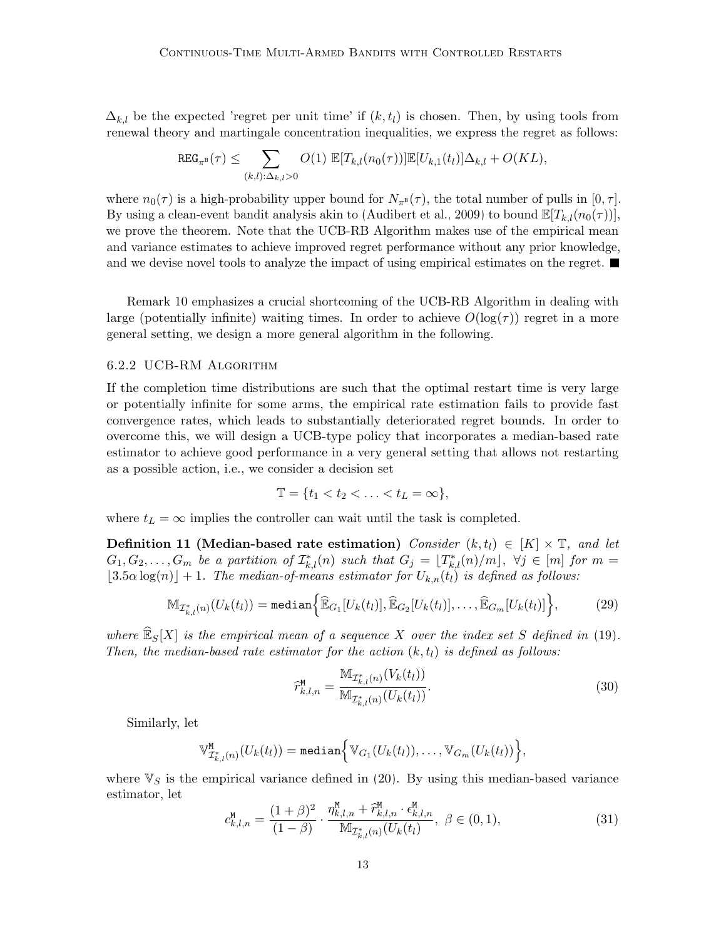$\Delta_{k,l}$  be the expected 'regret per unit time' if  $(k, t_l)$  is chosen. Then, by using tools from renewal theory and martingale concentration inequalities, we express the regret as follows:

$$
\texttt{REG}_{\pi^{\texttt{B}}}(\tau) \leq \sum_{(k,l): \Delta_{k,l} > 0} O(1) \mathbb{E}[T_{k,l}(n_0(\tau))] \mathbb{E}[U_{k,1}(t_l)] \Delta_{k,l} + O(KL),
$$

where  $n_0(\tau)$  is a high-probability upper bound for  $N_{\pi}(\tau)$ , the total number of pulls in  $[0, \tau]$ . By using a clean-event bandit analysis akin to [\(Audibert et al., 2009\)](#page-26-12) to bound  $\mathbb{E}[T_{k,l}(n_0(\tau))],$ we prove the theorem. Note that the UCB-RB Algorithm makes use of the empirical mean and variance estimates to achieve improved regret performance without any prior knowledge, and we devise novel tools to analyze the impact of using empirical estimates on the regret.

Remark [10](#page-11-0) emphasizes a crucial shortcoming of the UCB-RB Algorithm in dealing with large (potentially infinite) waiting times. In order to achieve  $O(log(\tau))$  regret in a more general setting, we design a more general algorithm in the following.

#### 6.2.2 UCB-RM Algorithm

If the completion time distributions are such that the optimal restart time is very large or potentially infinite for some arms, the empirical rate estimation fails to provide fast convergence rates, which leads to substantially deteriorated regret bounds. In order to overcome this, we will design a UCB-type policy that incorporates a median-based rate estimator to achieve good performance in a very general setting that allows not restarting as a possible action, i.e., we consider a decision set

$$
\mathbb{T} = \{t_1 < t_2 < \ldots < t_L = \infty\},\
$$

where  $t_L = \infty$  implies the controller can wait until the task is completed.

Definition 11 (Median-based rate estimation) Consider  $(k, t_l) \in [K] \times \mathbb{T}$ , and let  $G_1, G_2, \ldots, G_m$  be a partition of  $\mathcal{I}_{k,l}^*(n)$  such that  $G_j = \lfloor T_{k,l}^*(n)/m \rfloor$ ,  $\forall j \in [m]$  for  $m =$  $[3.5\alpha \log(n)] + 1$ . The median-of-means estimator for  $U_{k,n}(t)$  is defined as follows:

$$
\mathbb{M}_{\mathcal{I}_{k,l}^*(n)}(U_k(t_l)) = \text{median}\Big\{\widehat{\mathbb{E}}_{G_1}[U_k(t_l)], \widehat{\mathbb{E}}_{G_2}[U_k(t_l)], \dots, \widehat{\mathbb{E}}_{G_m}[U_k(t_l)]\Big\},\tag{29}
$$

where  $\mathbb{E}_{S}[X]$  is the empirical mean of a sequence X over the index set S defined in [\(19\)](#page-9-2). Then, the median-based rate estimator for the action  $(k, t<sub>l</sub>)$  is defined as follows:

$$
\widehat{r}_{k,l,n}^{\mathbf{M}} = \frac{\mathbb{M}_{\mathcal{I}_{k,l}^*(n)}(V_k(t_l))}{\mathbb{M}_{\mathcal{I}_{k,l}^*(n)}(U_k(t_l))}.
$$
\n(30)

Similarly, let

$$
\mathbb{V}_{\mathcal{I}_{k,l}^*(n)}^{\mathsf{M}}(U_k(t_l)) = \text{median}\Big\{\mathbb{V}_{G_1}(U_k(t_l)),\ldots,\mathbb{V}_{G_m}(U_k(t_l))\Big\},\,
$$

where  $\mathbb{V}_S$  is the empirical variance defined in [\(20\)](#page-9-3). By using this median-based variance estimator, let

$$
c_{k,l,n}^{\mathbf{M}} = \frac{(1+\beta)^2}{(1-\beta)} \cdot \frac{\eta_{k,l,n}^{\mathbf{M}} + \hat{r}_{k,l,n}^{\mathbf{M}} \cdot \epsilon_{k,l,n}^{\mathbf{M}}}{\mathbb{M}_{\mathcal{I}_{k,l}^*(n)}(U_k(t_l)}, \ \beta \in (0,1), \tag{31}
$$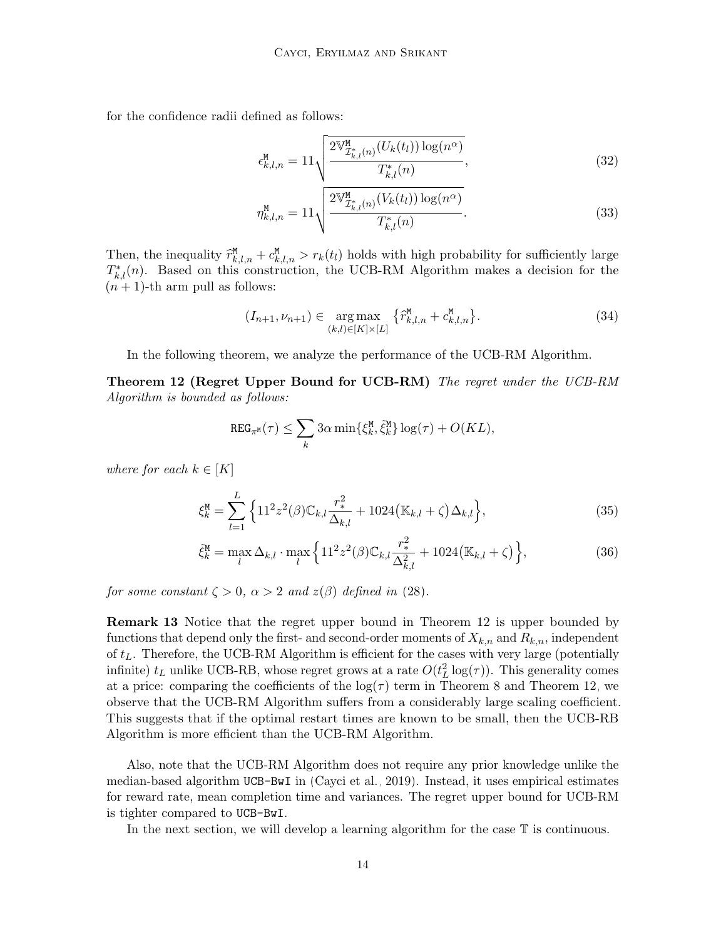for the confidence radii defined as follows:

$$
\epsilon_{k,l,n}^{\mathbf{M}} = 11 \sqrt{\frac{2 \mathbb{V}_{\mathcal{I}_{k,l}^{*}(n)}^{M}(U_k(t_l)) \log(n^{\alpha})}{T_{k,l}^{*}(n)}},\tag{32}
$$

$$
\eta_{k,l,n}^{\mathbf{M}} = 11 \sqrt{\frac{2 \mathbb{V}_{\mathcal{I}_{k,l}^{*}(n)}^{M}(V_k(t_l)) \log(n^{\alpha})}{T_{k,l}^{*}(n)}}.
$$
\n(33)

Then, the inequality  $\tilde{r}_{k,l,n}^{\mathbb{M}} + c_{k,l,n}^{\mathbb{M}} > r_k(t_l)$  holds with high probability for sufficiently large  $T^*(x)$ . Based on this construction, the UCB PM, Algorithm makes a decision for the  $T_{k,l}^*(n)$ . Based on this construction, the UCB-RM Algorithm makes a decision for the  $(n + 1)$ -th arm pull as follows:

<span id="page-13-0"></span>
$$
(I_{n+1}, \nu_{n+1}) \in \underset{(k,l) \in [K] \times [L]}{\arg \max} \{ \hat{r}_{k,l,n}^{\mathbf{M}} + c_{k,l,n}^{\mathbf{M}} \}. \tag{34}
$$

In the following theorem, we analyze the performance of the UCB-RM Algorithm.

Theorem 12 (Regret Upper Bound for UCB-RM) The regret under the UCB-RM Algorithm is bounded as follows:

$$
\texttt{REG}_{\pi^{\tt M}}(\tau) \leq \sum_{k} 3\alpha \min\{\xi_k^{\tt M}, \tilde{\xi}_k^{\tt M}\} \log(\tau) + O(KL),
$$

where for each  $k \in [K]$ 

$$
\xi_k^{\mathsf{M}} = \sum_{l=1}^{L} \left\{ 11^2 z^2(\beta) \mathbb{C}_{k,l} \frac{r_*^2}{\Delta_{k,l}} + 1024 \left( \mathbb{K}_{k,l} + \zeta \right) \Delta_{k,l} \right\},\tag{35}
$$

$$
\tilde{\xi}_k^{\mathsf{M}} = \max_{l} \Delta_{k,l} \cdot \max_{l} \left\{ 11^2 z^2(\beta) \mathbb{C}_{k,l} \frac{r_*^2}{\Delta_{k,l}^2} + 1024 \left( \mathbb{K}_{k,l} + \zeta \right) \right\},\tag{36}
$$

for some constant  $\zeta > 0$ ,  $\alpha > 2$  and  $z(\beta)$  defined in [\(28\)](#page-11-1).

**Remark 13** Notice that the regret upper bound in Theorem [12](#page-13-0) is upper bounded by functions that depend only the first- and second-order moments of  $X_{k,n}$  and  $R_{k,n}$ , independent of  $t_L$ . Therefore, the UCB-RM Algorithm is efficient for the cases with very large (potentially infinite)  $t_L$  unlike UCB-RB, whose regret grows at a rate  $O(t_L^2 \log(\tau))$ . This generality comes at a price: comparing the coefficients of the  $log(τ)$  term in Theorem [8](#page-10-1) and Theorem [12,](#page-13-0) we observe that the UCB-RM Algorithm suffers from a considerably large scaling coefficient. This suggests that if the optimal restart times are known to be small, then the UCB-RB Algorithm is more efficient than the UCB-RM Algorithm.

Also, note that the UCB-RM Algorithm does not require any prior knowledge unlike the median-based algorithm UCB-BwI in [\(Cayci et al., 2019\)](#page-26-10). Instead, it uses empirical estimates for reward rate, mean completion time and variances. The regret upper bound for UCB-RM is tighter compared to UCB-BwI.

In the next section, we will develop a learning algorithm for the case  $\mathbb T$  is continuous.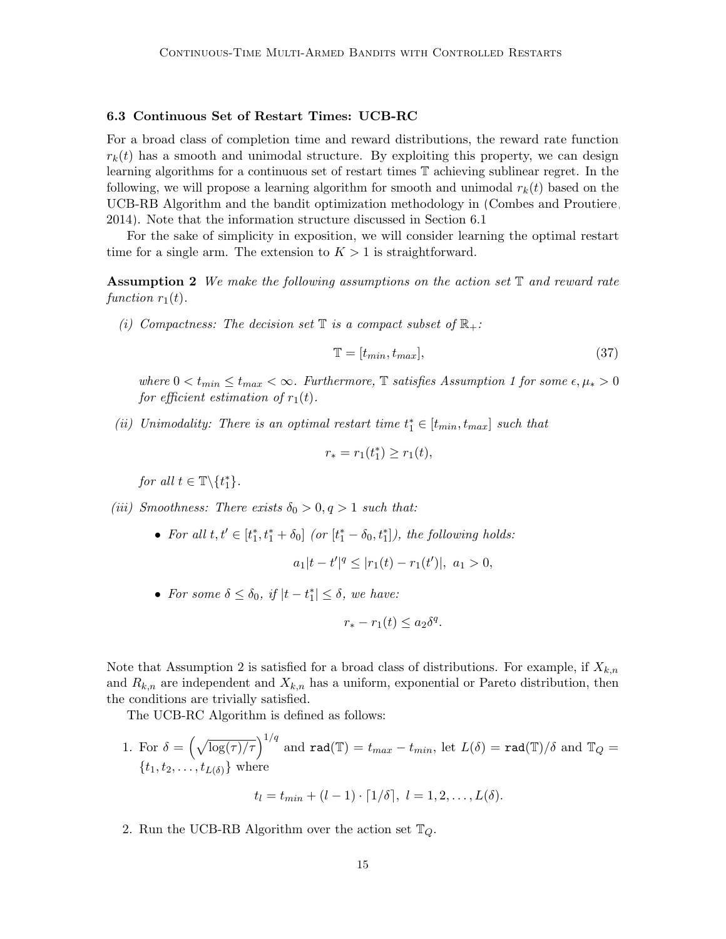#### 6.3 Continuous Set of Restart Times: UCB-RC

For a broad class of completion time and reward distributions, the reward rate function  $r_k(t)$  has a smooth and unimodal structure. By exploiting this property, we can design learning algorithms for a continuous set of restart times T achieving sublinear regret. In the following, we will propose a learning algorithm for smooth and unimodal  $r_k(t)$  based on the UCB-RB Algorithm and the bandit optimization methodology in [\(Combes and Proutiere,](#page-26-13) [2014\)](#page-26-13). Note that the information structure discussed in Section [6.1](#page-7-1)

For the sake of simplicity in exposition, we will consider learning the optimal restart time for a single arm. The extension to  $K > 1$  is straightforward.

**Assumption 2** We make the following assumptions on the action set  $\mathbb{T}$  and reward rate function  $r_1(t)$ .

(i) Compactness: The decision set  $\mathbb T$  is a compact subset of  $\mathbb R_+$ :

$$
\mathbb{T} = [t_{min}, t_{max}],\tag{37}
$$

where  $0 < t_{min} \leq t_{max} < \infty$ . Furthermore, T satisfies Assumption [1](#page-8-1) for some  $\epsilon, \mu_* > 0$ for efficient estimation of  $r_1(t)$ .

(ii) Unimodality: There is an optimal restart time  $t_1^* \in [t_{min}, t_{max}]$  such that

$$
r_* = r_1(t_1^*) \ge r_1(t),
$$

for all  $t \in \mathbb{T} \backslash \{t_1^*\}.$ 

<span id="page-14-0"></span>(iii) Smoothness: There exists  $\delta_0 > 0, q > 1$  such that:

• For all  $t, t' \in [t_1^*, t_1^* + \delta_0]$  (or  $[t_1^* - \delta_0, t_1^*]$ ), the following holds:

 $a_1|t-t'|^q \leq |r_1(t)-r_1(t')|, a_1 > 0,$ 

• For some  $\delta \leq \delta_0$ , if  $|t - t_1^*| \leq \delta$ , we have:

$$
r_* - r_1(t) \le a_2 \delta^q.
$$

Note that Assumption [2](#page-14-0) is satisfied for a broad class of distributions. For example, if  $X_{k,n}$ and  $R_{k,n}$  are independent and  $X_{k,n}$  has a uniform, exponential or Pareto distribution, then the conditions are trivially satisfied.

The UCB-RC Algorithm is defined as follows:

1. For 
$$
\delta = \left(\sqrt{\log(\tau)/\tau}\right)^{1/q}
$$
 and  $\text{rad}(\mathbb{T}) = t_{max} - t_{min}$ , let  $L(\delta) = \text{rad}(\mathbb{T})/\delta$  and  $\mathbb{T}_Q = \{t_1, t_2, \ldots, t_{L(\delta)}\}$  where

$$
t_l = t_{min} + (l-1) \cdot \lceil 1/\delta \rceil, \ l = 1, 2, \ldots, L(\delta).
$$

2. Run the UCB-RB Algorithm over the action set  $\mathbb{T}_Q$ .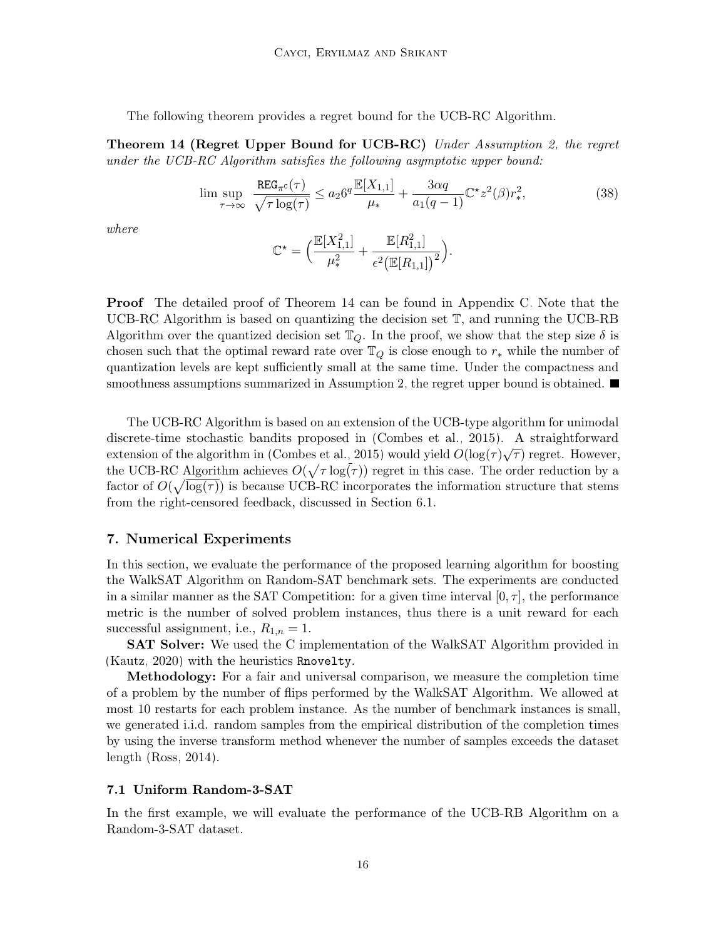The following theorem provides a regret bound for the UCB-RC Algorithm.

**Theorem 14 (Regret Upper Bound for UCB-RC)** Under Assumption [2,](#page-14-0) the regret under the UCB-RC Algorithm satisfies the following asymptotic upper bound:

$$
\limsup_{\tau \to \infty} \frac{\text{REG}_{\pi^c}(\tau)}{\sqrt{\tau \log(\tau)}} \le a_2 6^q \frac{\mathbb{E}[X_{1,1}]}{\mu_*} + \frac{3\alpha q}{a_1(q-1)} \mathbb{C}^{\star} z^2(\beta) r_*^2,
$$
\n(38)

where

<span id="page-15-0"></span>
$$
\mathbb{C}^\star=\Big(\frac{\mathbb{E}[X_{1,1}^2]}{\mu_*^2}+\frac{\mathbb{E}[R_{1,1}^2]}{\epsilon^2\big(\mathbb{E}[R_{1,1}]\big)^2}\Big).
$$

**Proof** The detailed proof of Theorem [14](#page-15-0) can be found in Appendix [C.](#page-4-1) Note that the UCB-RC Algorithm is based on quantizing the decision set T, and running the UCB-RB Algorithm over the quantized decision set  $\mathbb{T}_Q$ . In the proof, we show that the step size  $\delta$  is chosen such that the optimal reward rate over  $\mathbb{T}_Q$  is close enough to  $r_*$  while the number of quantization levels are kept sufficiently small at the same time. Under the compactness and smoothness assumptions summarized in Assumption [2,](#page-14-0) the regret upper bound is obtained.  $\blacksquare$ 

The UCB-RC Algorithm is based on an extension of the UCB-type algorithm for unimodal discrete-time stochastic bandits proposed in [\(Combes et al., 2015\)](#page-26-7). A straightforward extension of the algorithm in [\(Combes et al., 2015\)](#page-26-7) would yield  $O(\log(\tau)\sqrt{\tau})$  regret. However, the UCB-RC Algorithm achieves  $O(\sqrt{\tau \log(\tau)})$  regret in this case. The order reduction by a factor of  $O(\sqrt{\log(\tau)})$  is because UCB-RC incorporates the information structure that stems from the right-censored feedback, discussed in Section [6.1.](#page-7-1)

## 7. Numerical Experiments

In this section, we evaluate the performance of the proposed learning algorithm for boosting the WalkSAT Algorithm on Random-SAT benchmark sets. The experiments are conducted in a similar manner as the SAT Competition: for a given time interval  $[0, \tau]$ , the performance metric is the number of solved problem instances, thus there is a unit reward for each successful assignment, i.e.,  $R_{1,n} = 1$ .

SAT Solver: We used the C implementation of the WalkSAT Algorithm provided in [\(Kautz, 2020\)](#page-27-12) with the heuristics Rnovelty.

Methodology: For a fair and universal comparison, we measure the completion time of a problem by the number of flips performed by the WalkSAT Algorithm. We allowed at most 10 restarts for each problem instance. As the number of benchmark instances is small, we generated i.i.d. random samples from the empirical distribution of the completion times by using the inverse transform method whenever the number of samples exceeds the dataset length [\(Ross, 2014\)](#page-27-13).

## 7.1 Uniform Random-3-SAT

In the first example, we will evaluate the performance of the UCB-RB Algorithm on a Random-3-SAT dataset.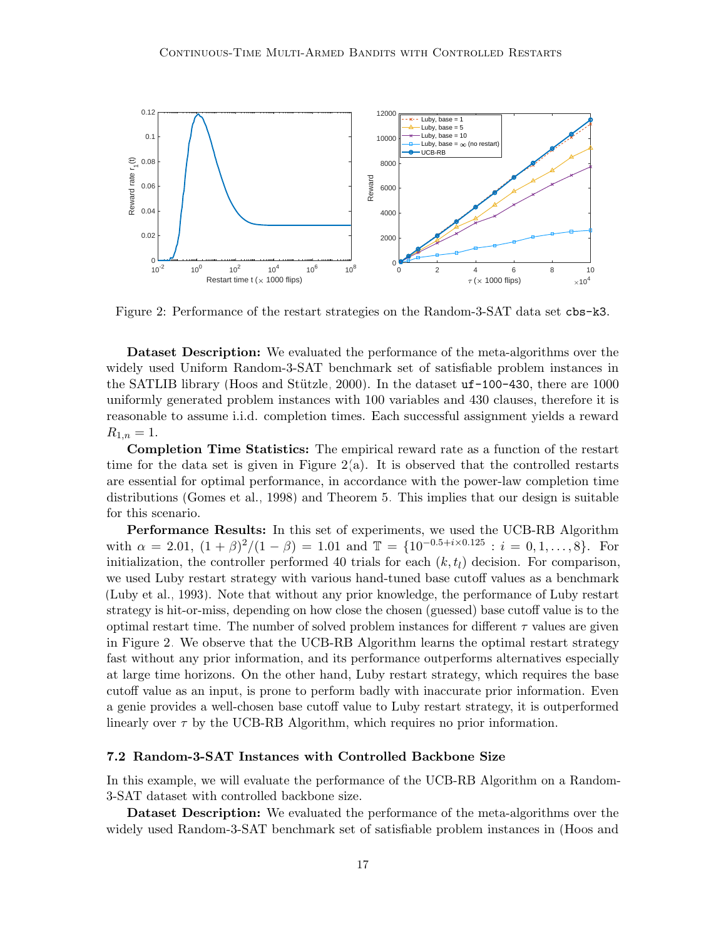

<span id="page-16-0"></span>Figure 2: Performance of the restart strategies on the Random-3-SAT data set cbs-k3.

Dataset Description: We evaluated the performance of the meta-algorithms over the widely used Uniform Random-3-SAT benchmark set of satisfiable problem instances in the SATLIB library (Hoos and Stützle, 2000). In the dataset  $uf-100-430$ , there are 1000 uniformly generated problem instances with 100 variables and 430 clauses, therefore it is reasonable to assume i.i.d. completion times. Each successful assignment yields a reward  $R_{1,n} = 1.$ 

Completion Time Statistics: The empirical reward rate as a function of the restart time for the data set is given in Figure [2\(](#page-16-0)a). It is observed that the controlled restarts are essential for optimal performance, in accordance with the power-law completion time distributions [\(Gomes et al., 1998\)](#page-26-4) and Theorem [5.](#page-6-1) This implies that our design is suitable for this scenario.

Performance Results: In this set of experiments, we used the UCB-RB Algorithm with  $\alpha = 2.01, (1 + \beta)^2/(1 - \beta) = 1.01$  and  $\mathbb{T} = \{10^{-0.5 + i \times 0.125} : i = 0, 1, ..., 8\}$ . For initialization, the controller performed 40 trials for each  $(k, t<sub>l</sub>)$  decision. For comparison, we used Luby restart strategy with various hand-tuned base cutoff values as a benchmark [\(Luby et al., 1993\)](#page-27-5). Note that without any prior knowledge, the performance of Luby restart strategy is hit-or-miss, depending on how close the chosen (guessed) base cutoff value is to the optimal restart time. The number of solved problem instances for different  $\tau$  values are given in Figure [2.](#page-16-0) We observe that the UCB-RB Algorithm learns the optimal restart strategy fast without any prior information, and its performance outperforms alternatives especially at large time horizons. On the other hand, Luby restart strategy, which requires the base cutoff value as an input, is prone to perform badly with inaccurate prior information. Even a genie provides a well-chosen base cutoff value to Luby restart strategy, it is outperformed linearly over  $\tau$  by the UCB-RB Algorithm, which requires no prior information.

#### 7.2 Random-3-SAT Instances with Controlled Backbone Size

In this example, we will evaluate the performance of the UCB-RB Algorithm on a Random-3-SAT dataset with controlled backbone size.

Dataset Description: We evaluated the performance of the meta-algorithms over the widely used Random-3-SAT benchmark set of satisfiable problem instances in [\(Hoos and](#page-27-14)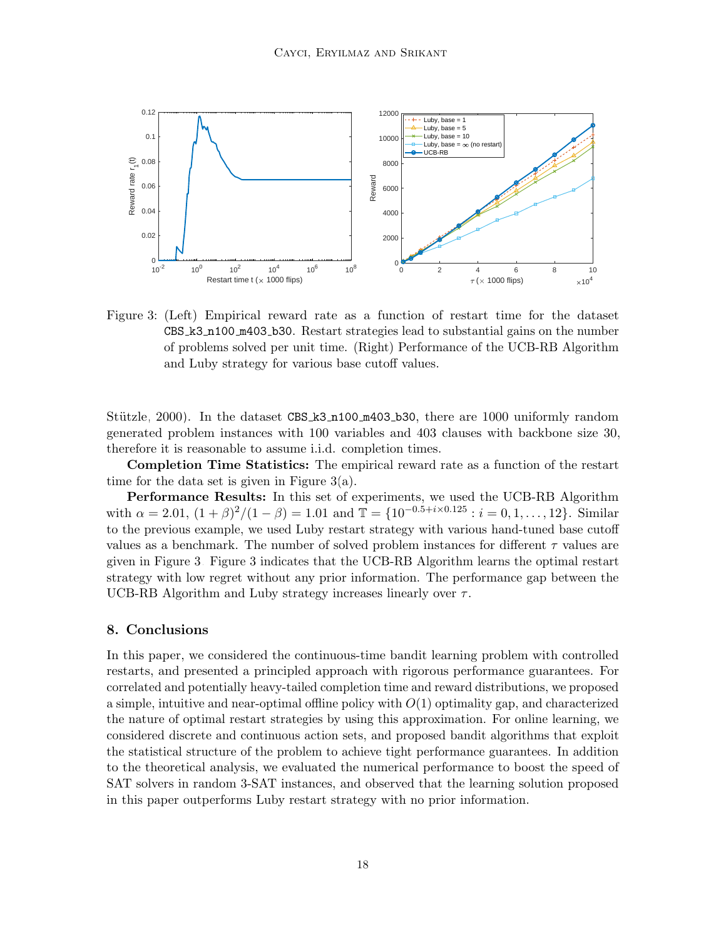

<span id="page-17-0"></span>Figure 3: (Left) Empirical reward rate as a function of restart time for the dataset CBS k3 n100 m403 b30. Restart strategies lead to substantial gains on the number of problems solved per unit time. (Right) Performance of the UCB-RB Algorithm and Luby strategy for various base cutoff values.

Stützle,  $2000$ ). In the dataset CBS\_k3\_n100\_m403\_b30, there are 1000 uniformly random generated problem instances with 100 variables and 403 clauses with backbone size 30, therefore it is reasonable to assume i.i.d. completion times.

Completion Time Statistics: The empirical reward rate as a function of the restart time for the data set is given in Figure  $3(a)$ .

Performance Results: In this set of experiments, we used the UCB-RB Algorithm with  $\alpha = 2.01$ ,  $(1 + \beta)^2/(1 - \beta) = 1.01$  and  $\mathbb{T} = \{10^{-0.5 + i \times 0.125} : i = 0, 1, ..., 12\}$ . Similar to the previous example, we used Luby restart strategy with various hand-tuned base cutoff values as a benchmark. The number of solved problem instances for different  $\tau$  values are given in Figure [3.](#page-17-0) Figure [3](#page-17-0) indicates that the UCB-RB Algorithm learns the optimal restart strategy with low regret without any prior information. The performance gap between the UCB-RB Algorithm and Luby strategy increases linearly over  $\tau$ .

#### 8. Conclusions

In this paper, we considered the continuous-time bandit learning problem with controlled restarts, and presented a principled approach with rigorous performance guarantees. For correlated and potentially heavy-tailed completion time and reward distributions, we proposed a simple, intuitive and near-optimal offline policy with  $O(1)$  optimality gap, and characterized the nature of optimal restart strategies by using this approximation. For online learning, we considered discrete and continuous action sets, and proposed bandit algorithms that exploit the statistical structure of the problem to achieve tight performance guarantees. In addition to the theoretical analysis, we evaluated the numerical performance to boost the speed of SAT solvers in random 3-SAT instances, and observed that the learning solution proposed in this paper outperforms Luby restart strategy with no prior information.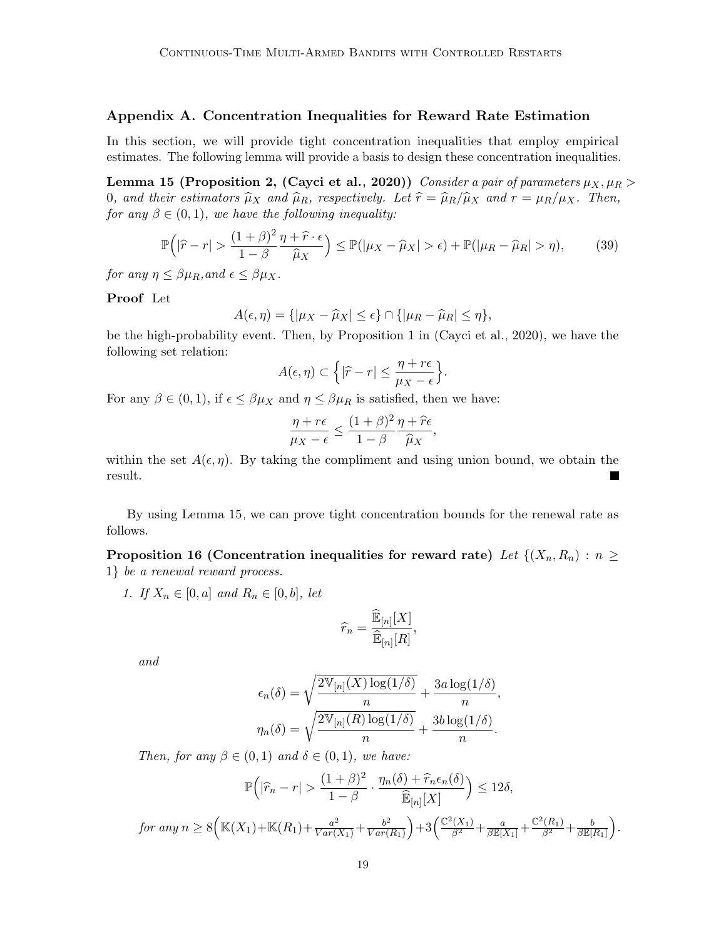## Appendix A. Concentration Inequalities for Reward Rate Estimation

In this section, we will provide tight concentration inequalities that employ empirical estimates. The following lemma will provide a basis to design these concentration inequalities.

<span id="page-18-0"></span>Lemma 15 (Proposition 2, [\(Cayci et al., 2020\)](#page-26-8)) Consider a pair of parameters  $\mu_X, \mu_R >$ 0, and their estimators  $\hat{\mu}_X$  and  $\hat{\mu}_R$ , respectively. Let  $\hat{r} = \hat{\mu}_R/\hat{\mu}_X$  and  $r = \mu_R/\mu_X$ . Then, for any  $\beta \in (0,1)$ , we have the following inequality:

$$
\mathbb{P}\left(|\hat{r} - r| > \frac{(1+\beta)^2}{1-\beta} \frac{\eta + \hat{r} \cdot \epsilon}{\hat{\mu}_X}\right) \le \mathbb{P}(|\mu_X - \hat{\mu}_X| > \epsilon) + \mathbb{P}(|\mu_R - \hat{\mu}_R| > \eta),\tag{39}
$$

for any  $\eta \leq \beta \mu_R$ , and  $\epsilon \leq \beta \mu_X$ .

## Proof Let

$$
A(\epsilon, \eta) = \{ |\mu_X - \widehat{\mu}_X| \le \epsilon \} \cap \{ |\mu_R - \widehat{\mu}_R| \le \eta \},
$$

be the high-probability event. Then, by Proposition 1 in [\(Cayci et al., 2020\)](#page-26-8), we have the following set relation:

$$
A(\epsilon,\eta)\subset\Big\{|\widehat{r}-r|\leq\frac{\eta+r\epsilon}{\mu_X-\epsilon}\Big\}.
$$

For any  $\beta \in (0,1)$ , if  $\epsilon \leq \beta \mu_X$  and  $\eta \leq \beta \mu_R$  is satisfied, then we have:

$$
\frac{\eta + r\epsilon}{\mu_X - \epsilon} \le \frac{(1+\beta)^2}{1-\beta} \frac{\eta + \widehat{r}\epsilon}{\widehat{\mu}_X},
$$

within the set  $A(\epsilon, \eta)$ . By taking the compliment and using union bound, we obtain the result.  $\blacksquare$ 

By using Lemma [15,](#page-18-0) we can prove tight concentration bounds for the renewal rate as follows.

<span id="page-18-1"></span>Proposition 16 (Concentration inequalities for reward rate) Let  $\{(X_n, R_n): n \geq 1\}$ 1} be a renewal reward process.

1. If  $X_n \in [0, a]$  and  $R_n \in [0, b]$ , let

$$
\widehat{r}_n = \frac{\widehat{\mathbb{E}}_{[n]}[X]}{\widehat{\mathbb{E}}_{[n]}[R]},
$$

and

$$
\epsilon_n(\delta) = \sqrt{\frac{2 \mathbb{V}_{[n]}(X) \log(1/\delta)}{n}} + \frac{3a \log(1/\delta)}{n},
$$

$$
\eta_n(\delta) = \sqrt{\frac{2 \mathbb{V}_{[n]}(R) \log(1/\delta)}{n}} + \frac{3b \log(1/\delta)}{n}.
$$

Then, for any  $\beta \in (0,1)$  and  $\delta \in (0,1)$ , we have:

$$
\mathbb{P}\Big(|\hat{r}_n - r| > \frac{(1+\beta)^2}{1-\beta} \cdot \frac{\eta_n(\delta) + \hat{r}_n\epsilon_n(\delta)}{\widehat{\mathbb{E}}_{[n]}[X]}\Big) \le 12\delta,
$$
\n
$$
\text{for any } n \ge 8\Big(\mathbb{K}(X_1) + \mathbb{K}(R_1) + \frac{a^2}{\operatorname{Var}(X_1)} + \frac{b^2}{\operatorname{Var}(R_1)}\Big) + 3\Big(\frac{\mathbb{C}^2(X_1)}{\beta^2} + \frac{a}{\beta \mathbb{E}[X_1]} + \frac{\mathbb{C}^2(R_1)}{\beta^2} + \frac{b}{\beta \mathbb{E}[R_1]}\Big).
$$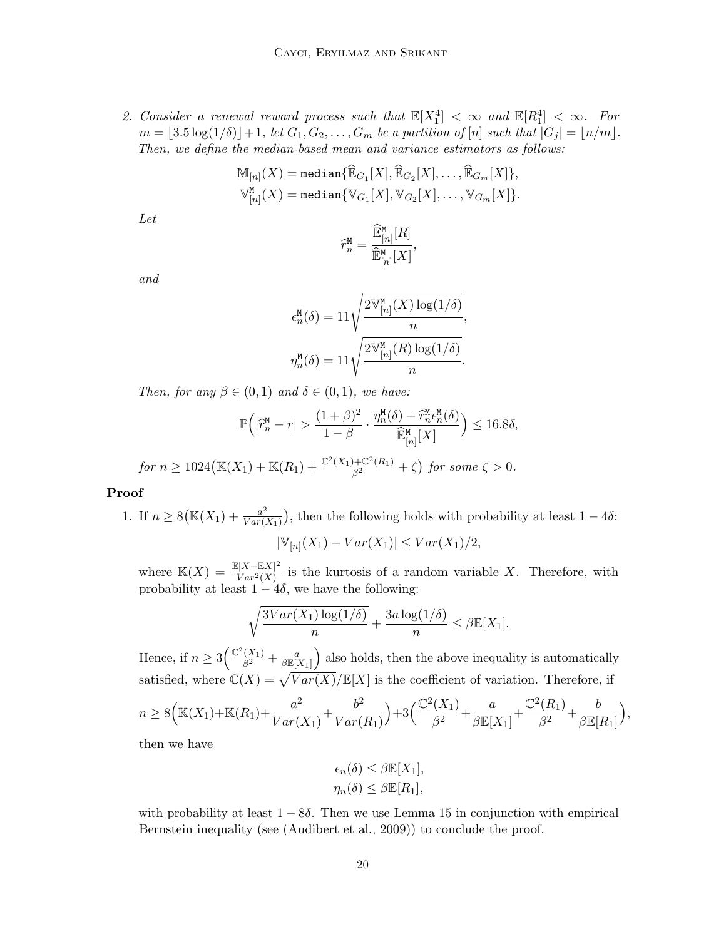2. Consider a renewal reward process such that  $\mathbb{E}[X_1^4] < \infty$  and  $\mathbb{E}[R_1^4] < \infty$ . For  $m = \lfloor 3.5 \log(1/\delta) \rfloor + 1$ , let  $G_1, G_2, \ldots, G_m$  be a partition of  $[n]$  such that  $|G_j| = |n/m|$ . Then, we define the median-based mean and variance estimators as follows:

$$
\mathbb{M}_{[n]}(X) = \text{median}\{\widehat{\mathbb{E}}_{G_1}[X], \widehat{\mathbb{E}}_{G_2}[X], \ldots, \widehat{\mathbb{E}}_{G_m}[X]\},
$$
  

$$
\mathbb{V}_{[n]}^{\mathtt{M}}(X) = \text{median}\{\mathbb{V}_{G_1}[X], \mathbb{V}_{G_2}[X], \ldots, \mathbb{V}_{G_m}[X]\}.
$$

Let

$$
\widehat{r}^{\mathtt{M}}_n = \frac{\widehat{\mathbb{E}}^{\mathtt{M}}_{[n]}[R]}{\widehat{\mathbb{E}}^{\mathtt{M}}_{[n]}[X]},
$$

and

$$
\epsilon_n^{\text{M}}(\delta) = 11 \sqrt{\frac{2 \mathbb{V}_{[n]}^{\text{M}}(X) \log(1/\delta)}{n}},
$$
  

$$
\eta_n^{\text{M}}(\delta) = 11 \sqrt{\frac{2 \mathbb{V}_{[n]}^{\text{M}}(R) \log(1/\delta)}{n}}.
$$

Then, for any  $\beta \in (0,1)$  and  $\delta \in (0,1)$ , we have:

$$
\mathbb{P}\Big(|\widehat{r}^{\mathtt{M}}_n-r|>\frac{(1+\beta)^2}{1-\beta}\cdot\frac{\eta^{\mathtt{M}}_n(\delta)+\widehat{r}^{\mathtt{M}}_n\epsilon^{\mathtt{M}}_n(\delta)}{\widehat{\mathbb{E}}^{\mathtt{M}}_{[n]}[X]}\Big)\leq 16.8\delta,
$$

for  $n \geq 1024(\mathbb{K}(X_1) + \mathbb{K}(R_1) + \frac{\mathbb{C}^2(X_1) + \mathbb{C}^2(R_1)}{\beta^2} + \zeta)$  for some  $\zeta > 0$ .

## Proof

1. If  $n \geq 8(\mathbb{K}(X_1) + \frac{a^2}{Var})$  $\frac{a^2}{Var(X_1)}$ , then the following holds with probability at least  $1-4\delta$ :

$$
|\mathbb{V}_{[n]}(X_1) - Var(X_1)| \leq Var(X_1)/2,
$$

where  $\mathbb{K}(X) = \frac{\mathbb{E}|X - \mathbb{E}X|^2}{Var^2(X)}$  $\frac{\sqrt{X-\mathbb{E}X}|^2}{Var^2(X)}$  is the kurtosis of a random variable X. Therefore, with probability at least  $1 - 4\delta$ , we have the following:

$$
\sqrt{\frac{3Var(X_1)\log(1/\delta)}{n}} + \frac{3a\log(1/\delta)}{n} \le \beta \mathbb{E}[X_1].
$$

Hence, if  $n \geq 3 \left( \frac{\mathbb{C}^2(X_1)}{\beta^2} + \frac{a}{\beta \mathbb{E}[X_1]} \right)$ ) also holds, then the above inequality is automatically satisfied, where  $\mathbb{C}(X) = \sqrt{Var(X)} / \mathbb{E}[X]$  is the coefficient of variation. Therefore, if  $n \geq 8 \Big( \mathbb{K}(X_1) + \mathbb{K}(R_1) + \frac{a^2}{\mathbf{K} \cdot \mathbf{K} \cdot \mathbf{K} \cdot \mathbf{K} \cdot \mathbf{K} \cdot \mathbf{K} \cdot \mathbf{K} \cdot \mathbf{K} \cdot \mathbf{K} \cdot \mathbf{K} \cdot \mathbf{K} \cdot \mathbf{K} \cdot \mathbf{K} \cdot \mathbf{K} \cdot \mathbf{K} \cdot \mathbf{K} \cdot \mathbf{K} \cdot \mathbf{K} \cdot \mathbf{K} \cdot \mathbf{K} \cdot \mathbf{K} \cdot \mathbf{K} \cdot \mathbf{K}$  $\frac{a^2}{Var(X_1)} + \frac{b^2}{Var(\Lambda)}$  $Var(R_1)$  $+3\Big(\frac{\mathbb{C}^{2}(X_{1})}{2^{2}}\Big)$  $\frac{d(X_1)}{\beta^2} + \frac{a}{\beta \mathbb{E}[a]}$  $\frac{\alpha}{\beta \mathbb{E}[X_1]} +$  $\mathbb{C}^2(R_1)$  $\frac{1}{\beta^2}(\frac{R_1}{\beta \mathbb{E}}+\frac{b}{\beta \mathbb{E}})$  $\overline{\beta\mathbb{E}[R_1]}$ ,

then we have

$$
\epsilon_n(\delta) \leq \beta \mathbb{E}[X_1],
$$
  

$$
\eta_n(\delta) \leq \beta \mathbb{E}[R_1],
$$

with probability at least  $1 - 8\delta$ . Then we use Lemma [15](#page-18-0) in conjunction with empirical Bernstein inequality (see [\(Audibert et al., 2009\)](#page-26-12)) to conclude the proof.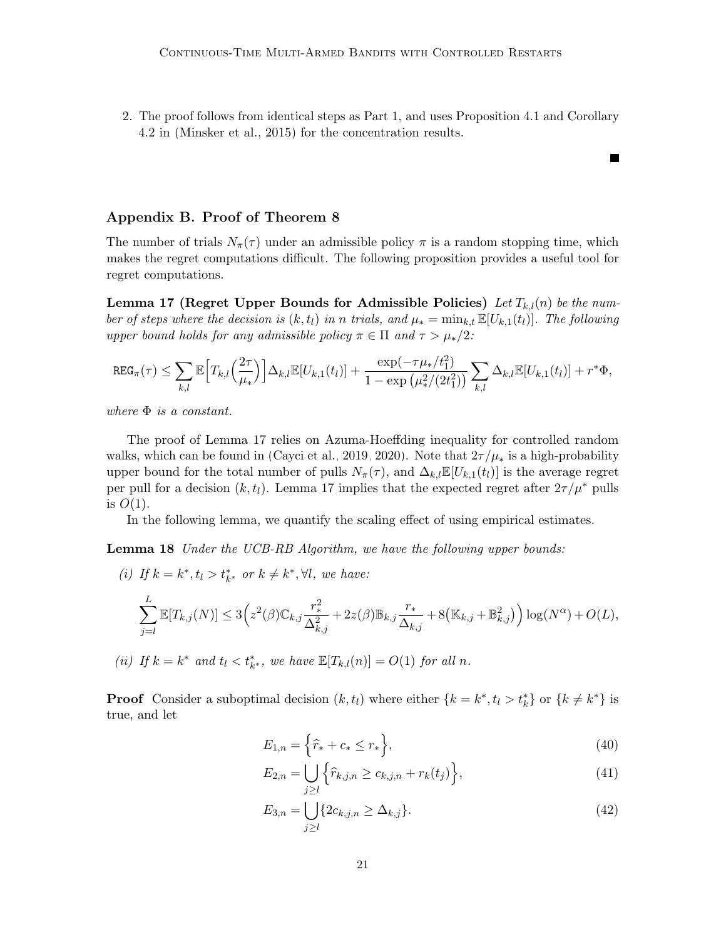2. The proof follows from identical steps as Part 1, and uses Proposition 4.1 and Corollary 4.2 in [\(Minsker et al., 2015\)](#page-27-15) for the concentration results.

П

## Appendix B. Proof of Theorem [8](#page-10-1)

The number of trials  $N_{\pi}(\tau)$  under an admissible policy  $\pi$  is a random stopping time, which makes the regret computations difficult. The following proposition provides a useful tool for regret computations.

<span id="page-20-0"></span>Lemma 17 (Regret Upper Bounds for Admissible Policies) Let  $T_{k,l}(n)$  be the number of steps where the decision is  $(k, t_l)$  in n trials, and  $\mu_* = \min_{k,t} \mathbb{E}[U_{k,1}(t_l)]$ . The following upper bound holds for any admissible policy  $\pi \in \Pi$  and  $\tau > \mu_*/2$ :

$$
\text{REG}_{\pi}(\tau) \leq \sum_{k,l} \mathbb{E}\Big[T_{k,l}\Big(\frac{2\tau}{\mu_*}\Big)\Big] \Delta_{k,l} \mathbb{E}[U_{k,1}(t_l)] + \frac{\exp(-\tau\mu_*/t_1^2)}{1-\exp(\mu_*^2/(2t_1^2))}\sum_{k,l} \Delta_{k,l} \mathbb{E}[U_{k,1}(t_l)] + r^*\Phi,
$$

where  $\Phi$  is a constant.

The proof of Lemma [17](#page-20-0) relies on Azuma-Hoeffding inequality for controlled random walks, which can be found in [\(Cayci et al., 2019,](#page-26-10) [2020\)](#page-26-8). Note that  $2\tau/\mu_*$  is a high-probability upper bound for the total number of pulls  $N_{\pi}(\tau)$ , and  $\Delta_{k,l}\mathbb{E}[U_{k,1}(t_l)]$  is the average regret per pull for a decision  $(k, t_l)$ . Lemma [17](#page-20-0) implies that the expected regret after  $2\tau/\mu^*$  pulls is  $O(1)$ .

In the following lemma, we quantify the scaling effect of using empirical estimates.

Lemma 18 Under the UCB-RB Algorithm, we have the following upper bounds:

(i) If 
$$
k = k^*, t_l > t^*_{k^*}
$$
 or  $k \neq k^*, \forall l$ , we have:  
\n
$$
\sum_{j=l}^{L} \mathbb{E}[T_{k,j}(N)] \leq 3\left(z^2(\beta) \mathbb{C}_{k,j} \frac{r^2}{\Delta_{k,j}^2} + 2z(\beta) \mathbb{B}_{k,j} \frac{r_*}{\Delta_{k,j}} + 8(\mathbb{K}_{k,j} + \mathbb{B}_{k,j}^2)\right) \log(N^{\alpha}) + O(L),
$$

<span id="page-20-1"></span>(ii) If  $k = k^*$  and  $t_l < t^*_{k^*}$ , we have  $\mathbb{E}[T_{k,l}(n)] = O(1)$  for all n.

**Proof** Consider a suboptimal decision  $(k, t_l)$  where either  $\{k = k^*, t_l > t_k^*\}$  or  $\{k \neq k^*\}$  is true, and let

$$
E_{1,n} = \left\{ \hat{r}_* + c_* \le r_* \right\},\tag{40}
$$

$$
E_{2,n} = \bigcup_{j \ge l} \left\{ \widehat{r}_{k,j,n} \ge c_{k,j,n} + r_k(t_j) \right\},\tag{41}
$$

$$
E_{3,n} = \bigcup_{j \ge l} \{ 2c_{k,j,n} \ge \Delta_{k,j} \}.
$$
\n(42)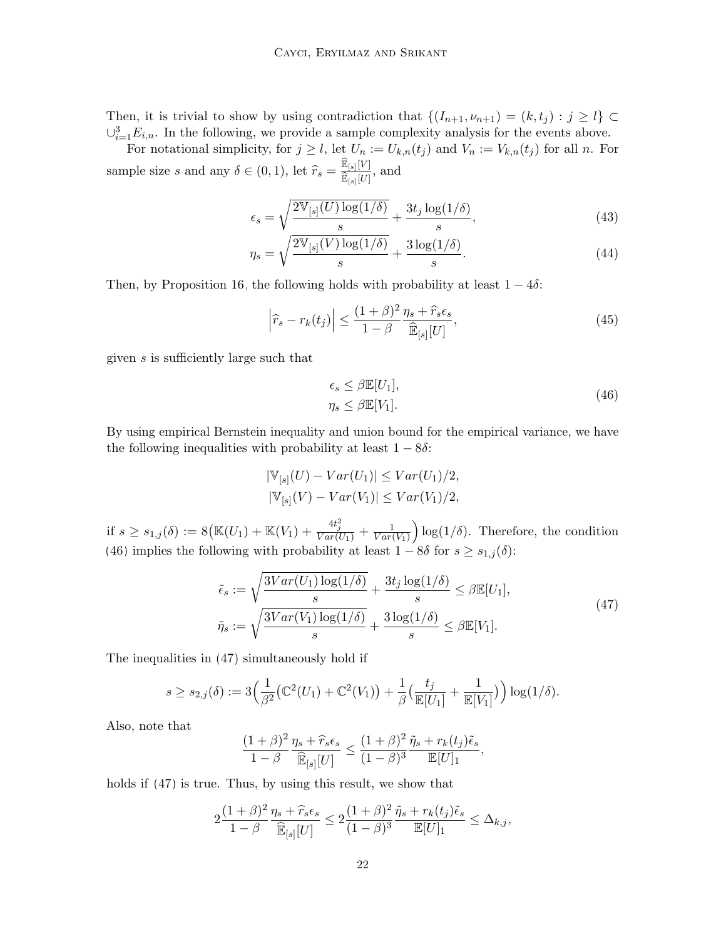Then, it is trivial to show by using contradiction that  $\{(I_{n+1}, \nu_{n+1}) = (k, t_i) : j \geq l\} \subset$  $\cup_{i=1}^{3} E_{i,n}$ . In the following, we provide a sample complexity analysis for the events above.

For notational simplicity, for  $j \geq l$ , let  $U_n := U_{k,n}(t_j)$  and  $V_n := V_{k,n}(t_j)$  for all n. For sample size s and any  $\delta \in (0, 1)$ , let  $\widehat{r}_s = \frac{\widehat{\mathbb{E}}_{[s]}[V]}{\widehat{\mathbb{E}}_{[s]}[U]}$  $\frac{\mathbb{E}_{[s]}[V]}{\widehat{\mathbb{E}}_{[s]}[U]},$  and

$$
\epsilon_s = \sqrt{\frac{2 \mathbb{V}_{[s]}(U) \log(1/\delta)}{s}} + \frac{3t_j \log(1/\delta)}{s},\tag{43}
$$

$$
\eta_s = \sqrt{\frac{2 \mathbb{V}_{[s]}(V) \log(1/\delta)}{s}} + \frac{3 \log(1/\delta)}{s}.
$$
\n(44)

Then, by Proposition [16,](#page-18-1) the following holds with probability at least  $1 - 4\delta$ :

$$
\left|\widehat{r}_s - r_k(t_j)\right| \le \frac{(1+\beta)^2}{1-\beta} \frac{\eta_s + \widehat{r}_s \epsilon_s}{\widehat{\mathbb{E}}_{[s]}[U]},\tag{45}
$$

given s is sufficiently large such that

<span id="page-21-2"></span><span id="page-21-1"></span><span id="page-21-0"></span>
$$
\epsilon_s \le \beta \mathbb{E}[U_1],
$$
  
\n
$$
\eta_s \le \beta \mathbb{E}[V_1].
$$
\n(46)

By using empirical Bernstein inequality and union bound for the empirical variance, we have the following inequalities with probability at least  $1 - 8\delta$ :

$$
|\mathbb{V}_{[s]}(U) - Var(U_1)| \leq Var(U_1)/2,
$$
  

$$
|\mathbb{V}_{[s]}(V) - Var(V_1)| \leq Var(V_1)/2,
$$

if  $s \geq s_{1,j}(\delta) := 8(\mathbb{K}(U_1) + \mathbb{K}(V_1) + \frac{4t_j^2}{Var(U_1)} + \frac{1}{Var(V_1)}$  $Var(V_1)$  $\log(1/\delta)$ . Therefore, the condition [\(46\)](#page-21-0) implies the following with probability at least  $1 - 8\delta$  for  $s \geq s_{1,j}(\delta)$ :

$$
\tilde{\epsilon}_s := \sqrt{\frac{3Var(U_1)\log(1/\delta)}{s}} + \frac{3t_j\log(1/\delta)}{s} \le \beta \mathbb{E}[U_1],
$$
\n
$$
\tilde{\eta}_s := \sqrt{\frac{3Var(V_1)\log(1/\delta)}{s}} + \frac{3\log(1/\delta)}{s} \le \beta \mathbb{E}[V_1].
$$
\n(47)

The inequalities in [\(47\)](#page-21-1) simultaneously hold if

$$
s \ge s_{2,j}(\delta) := 3\Big(\frac{1}{\beta^2} \big(\mathbb{C}^2(U_1) + \mathbb{C}^2(V_1)\big) + \frac{1}{\beta} \big(\frac{t_j}{\mathbb{E}[U_1]} + \frac{1}{\mathbb{E}[V_1]}\big)\Big) \log(1/\delta).
$$

Also, note that

$$
\frac{(1+\beta)^2}{1-\beta} \frac{\eta_s + \widehat{r}_s \epsilon_s}{\widehat{\mathbb{E}}_{[s]}[U]} \le \frac{(1+\beta)^2}{(1-\beta)^3} \frac{\widetilde{\eta}_s + r_k(t_j)\widetilde{\epsilon}_s}{\mathbb{E}[U]_1},
$$

holds if [\(47\)](#page-21-1) is true. Thus, by using this result, we show that

$$
2\frac{(1+\beta)^2}{1-\beta}\frac{\eta_s+\widehat{r}_s\epsilon_s}{\widehat{\mathbb{E}}_{[s]}[U]} \leq 2\frac{(1+\beta)^2}{(1-\beta)^3}\frac{\widetilde{\eta}_s+r_k(t_j)\widetilde{\epsilon}_s}{\mathbb{E}[U]_1} \leq \Delta_{k,j},
$$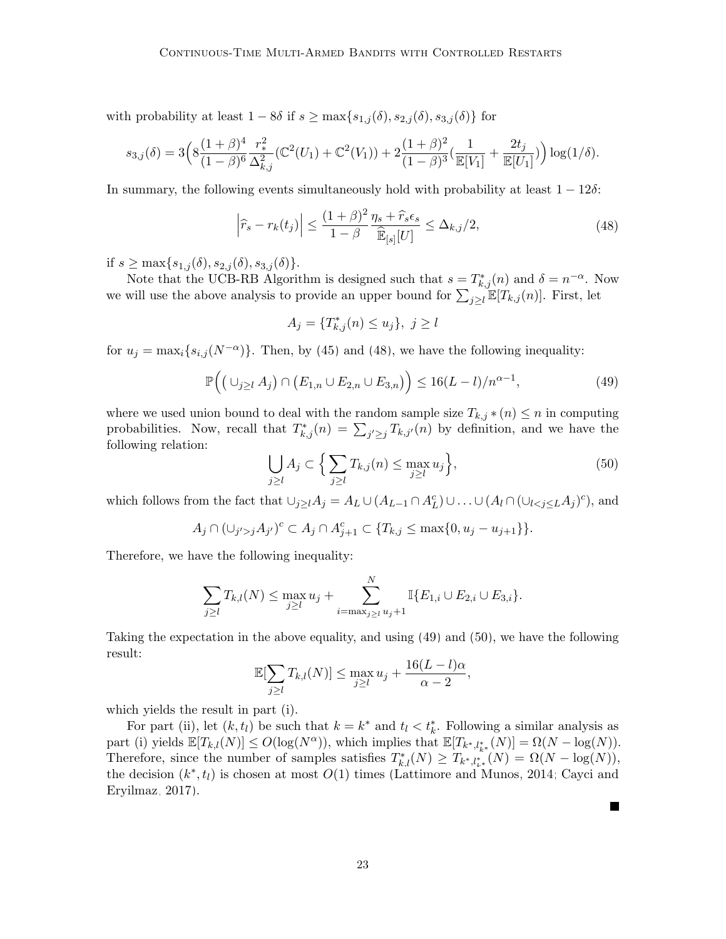with probability at least  $1 - 8\delta$  if  $s \geq \max\{s_{1,j}(\delta), s_{2,j}(\delta), s_{3,j}(\delta)\}\)$  for

$$
s_{3,j}(\delta) = 3\Big(8\frac{(1+\beta)^4}{(1-\beta)^6}\frac{r_*^2}{\Delta_{k,j}^2}(\mathbb{C}^2(U_1) + \mathbb{C}^2(V_1)) + 2\frac{(1+\beta)^2}{(1-\beta)^3}\left(\frac{1}{\mathbb{E}[V_1]} + \frac{2t_j}{\mathbb{E}[U_1]}\right)\Big) \log(1/\delta).
$$

In summary, the following events simultaneously hold with probability at least  $1 - 12\delta$ :

$$
\left|\widehat{r}_s - r_k(t_j)\right| \le \frac{(1+\beta)^2}{1-\beta} \frac{\eta_s + \widehat{r}_s \epsilon_s}{\widehat{\mathbb{E}}_{[s]}[U]} \le \Delta_{k,j}/2,\tag{48}
$$

if  $s \geq \max\{s_{1,j}(\delta), s_{2,j}(\delta), s_{3,j}(\delta)\}.$ 

Note that the UCB-RB Algorithm is designed such that  $s = T^*_{k,j}(n)$  and  $\delta = n^{-\alpha}$ . Now we will use the above analysis to provide an upper bound for  $\sum_{j\geq l} \mathbb{E}[T_{k,j}(n)]$ . First, let

<span id="page-22-1"></span><span id="page-22-0"></span>
$$
A_j = \{T^*_{k,j}(n) \le u_j\}, \ j \ge l
$$

for  $u_j = \max_i \{s_{i,j}(N^{-\alpha})\}.$  Then, by [\(45\)](#page-21-2) and [\(48\)](#page-22-0), we have the following inequality:

$$
\mathbb{P}\Big(\big(\cup_{j\geq l} A_j\big) \cap \big(E_{1,n}\cup E_{2,n}\cup E_{3,n}\big)\Big) \leq 16(L-l)/n^{\alpha-1},\tag{49}
$$

where we used union bound to deal with the random sample size  $T_{k,j} * (n) \leq n$  in computing probabilities. Now, recall that  $T_{k,j}^*(n) = \sum_{j' \geq j} T_{k,j'}(n)$  by definition, and we have the following relation:

<span id="page-22-2"></span>
$$
\bigcup_{j\geq l} A_j \subset \Big\{ \sum_{j\geq l} T_{k,j}(n) \leq \max_{j\geq l} u_j \Big\},\tag{50}
$$

 $\blacksquare$ 

which follows from the fact that  $\bigcup_{j\geq l} A_j = A_L \cup (A_{L-1}\cap A_L^c) \cup \ldots \cup (A_l \cap (\bigcup_{l\leq j\leq L} A_j)^c),$  and

$$
A_j \cap (\cup_{j'>j} A_{j'})^c \subset A_j \cap A_{j+1}^c \subset \{T_{k,j} \le \max\{0, u_j - u_{j+1}\}\}.
$$

Therefore, we have the following inequality:

$$
\sum_{j\geq l} T_{k,l}(N) \leq \max_{j\geq l} u_j + \sum_{i=\max_{j\geq l} u_j+1}^N \mathbb{I}\{E_{1,i} \cup E_{2,i} \cup E_{3,i}\}.
$$

Taking the expectation in the above equality, and using [\(49\)](#page-22-1) and [\(50\)](#page-22-2), we have the following result:

$$
\mathbb{E}[\sum_{j\geq l}T_{k,l}(N)] \leq \max_{j\geq l}u_j + \frac{16(L-l)\alpha}{\alpha-2},
$$

which yields the result in part (i).

For part (ii), let  $(k, t_l)$  be such that  $k = k^*$  and  $t_l < t_k^*$ . Following a similar analysis as part (i) yields  $\mathbb{E}[T_{k,l}(N)] \le O(\log(N^{\alpha}))$ , which implies that  $\mathbb{E}[T_{k^*,l_{k^*}^*}(N)] = \Omega(N - \log(N)).$ Therefore, since the number of samples satisfies  $T_{k,l}^*(N) \geq T_{k^*,l_{k^*}}^*(N) = \Omega(N - \log(N)),$ the decision  $(k^*, t_l)$  is chosen at most  $O(1)$  times [\(Lattimore and Munos, 2014;](#page-27-16) [Cayci and](#page-26-14) [Eryilmaz, 2017\)](#page-26-14).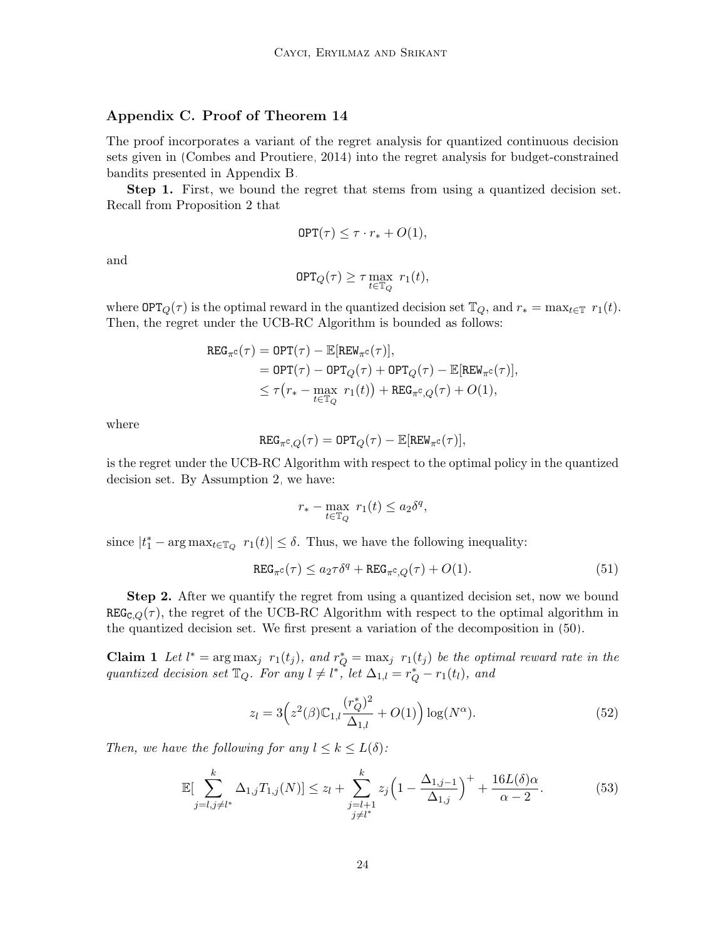## Appendix C. Proof of Theorem [14](#page-15-0)

The proof incorporates a variant of the regret analysis for quantized continuous decision sets given in [\(Combes and Proutiere, 2014\)](#page-26-13) into the regret analysis for budget-constrained bandits presented in Appendix [B.](#page-2-0)

Step 1. First, we bound the regret that stems from using a quantized decision set. Recall from Proposition [2](#page-5-2) that

$$
\text{OPT}(\tau) \leq \tau \cdot r_* + O(1),
$$

and

$$
\text{OPT}_Q(\tau) \ge \tau \max_{t \in \mathbb{T}_Q} r_1(t),
$$

where  $\text{OPT}_Q(\tau)$  is the optimal reward in the quantized decision set  $\mathbb{T}_Q$ , and  $r_* = \max_{t \in \mathbb{T}} r_1(t)$ . Then, the regret under the UCB-RC Algorithm is bounded as follows:

$$
\begin{aligned} \texttt{REG}_{\pi^{\tt C}}(\tau) &= \texttt{OPT}(\tau) - \mathbb{E}[\texttt{REW}_{\pi^{\tt C}}(\tau)], \\ &= \texttt{OPT}(\tau) - \texttt{OPT}_{Q}(\tau) + \texttt{OPT}_{Q}(\tau) - \mathbb{E}[\texttt{REW}_{\pi^{\tt C}}(\tau)], \\ &\leq \tau \big(r_* - \max_{t \in \mathbb{T}_Q} \ r_1(t) \big) + \texttt{REG}_{\pi^{\tt C},Q}(\tau) + O(1), \end{aligned}
$$

where

$$
\texttt{REG}_{\pi^{\tt C},Q}(\tau) = \texttt{OPT}_Q(\tau) - \mathbb{E}[\texttt{REW}_{\pi^{\tt C}}(\tau)],
$$

is the regret under the UCB-RC Algorithm with respect to the optimal policy in the quantized decision set. By Assumption [2,](#page-14-0) we have:

<span id="page-23-1"></span>
$$
r_* - \max_{t \in \mathbb{T}_Q} r_1(t) \le a_2 \delta^q,
$$

since  $|t_1^* - \arg \max_{t \in \mathbb{T}_Q} r_1(t)| \leq \delta$ . Thus, we have the following inequality:

$$
\text{REG}_{\pi^{\mathcal{C}}}(\tau) \le a_2 \tau \delta^q + \text{REG}_{\pi^{\mathcal{C}}, Q}(\tau) + O(1). \tag{51}
$$

Step 2. After we quantify the regret from using a quantized decision set, now we bound  $REG_{C,Q}(\tau)$ , the regret of the UCB-RC Algorithm with respect to the optimal algorithm in the quantized decision set. We first present a variation of the decomposition in [\(50\)](#page-22-2).

**Claim 1** Let  $l^* = \arg \max_j r_1(t_j)$ , and  $r_Q^* = \max_j r_1(t_j)$  be the optimal reward rate in the quantized decision set  $\mathbb{T}_Q$ . For any  $l \neq l^*$ , let  $\Delta_{1,l} = r_Q^* - r_1(t_l)$ , and

<span id="page-23-2"></span><span id="page-23-0"></span>
$$
z_{l} = 3\left(z^{2}(\beta)\mathbb{C}_{1,l}\frac{(r_{Q}^{*})^{2}}{\Delta_{1,l}} + O(1)\right)\log(N^{\alpha}).
$$
\n(52)

Then, we have the following for any  $l \leq k \leq L(\delta)$ :

$$
\mathbb{E}[\sum_{j=l,j\neq l^{*}}^{k} \Delta_{1,j} T_{1,j}(N)] \le z_l + \sum_{\substack{j=l+1 \ j\neq l^{*}}}^{k} z_j \left(1 - \frac{\Delta_{1,j-1}}{\Delta_{1,j}}\right)^{+} + \frac{16L(\delta)\alpha}{\alpha - 2}.
$$
 (53)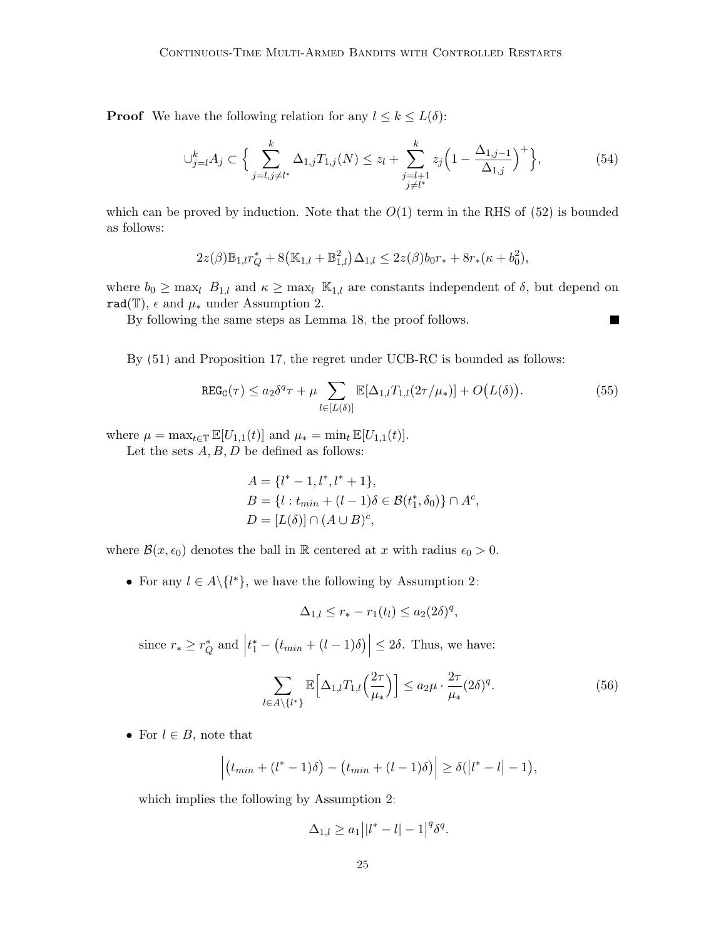**Proof** We have the following relation for any  $l \leq k \leq L(\delta)$ :

$$
\bigcup_{j=l}^{k} A_j \subset \Big\{ \sum_{j=l, j \neq l^*}^{k} \Delta_{1,j} T_{1,j}(N) \le z_l + \sum_{\substack{j=l+1 \ j \neq l^*}}^{k} z_j \Big( 1 - \frac{\Delta_{1,j-1}}{\Delta_{1,j}} \Big)^+ \Big\},\tag{54}
$$

which can be proved by induction. Note that the  $O(1)$  term in the RHS of [\(52\)](#page-23-0) is bounded as follows:

$$
2z(\beta)\mathbb{B}_{1,l}r_Q^* + 8(\mathbb{K}_{1,l} + \mathbb{B}_{1,l}^2)\Delta_{1,l} \leq 2z(\beta)b_0r_* + 8r_*(\kappa + b_0^2),
$$

where  $b_0 \ge \max_l B_{1,l}$  and  $\kappa \ge \max_l \mathbb{K}_{1,l}$  are constants independent of  $\delta$ , but depend on rad(T),  $\epsilon$  and  $\mu_*$  under Assumption [2.](#page-14-0)

By following the same steps as Lemma [18,](#page-20-1) the proof follows.

By [\(51\)](#page-23-1) and Proposition [17,](#page-20-0) the regret under UCB-RC is bounded as follows:

$$
\text{REG}_{\mathcal{C}}(\tau) \le a_2 \delta^q \tau + \mu \sum_{l \in [L(\delta)]} \mathbb{E}[\Delta_{1,l} T_{1,l}(2\tau/\mu_*)] + O(L(\delta)). \tag{55}
$$

<span id="page-24-1"></span> $\blacksquare$ 

where  $\mu = \max_{t \in \mathbb{T}} \mathbb{E}[U_{1,1}(t)]$  and  $\mu_* = \min_t \mathbb{E}[U_{1,1}(t)].$ 

Let the sets  $A, B, D$  be defined as follows:

$$
A = \{l^* - 1, l^*, l^* + 1\},
$$
  
\n
$$
B = \{l : t_{min} + (l - 1)\delta \in \mathcal{B}(t_1^*, \delta_0)\} \cap A^c,
$$
  
\n
$$
D = [L(\delta)] \cap (A \cup B)^c,
$$

where  $\mathcal{B}(x, \epsilon_0)$  denotes the ball in R centered at x with radius  $\epsilon_0 > 0$ .

• For any  $l \in A \setminus \{l^*\},$  we have the following by Assumption [2:](#page-14-0)

<span id="page-24-0"></span>
$$
\Delta_{1,l} \le r_* - r_1(t_l) \le a_2(2\delta)^q,
$$

since  $r_* \geq r_Q^*$  and  $|$  $t_1^* - (t_{min} + (l-1)\delta) \Big| \leq 2\delta$ . Thus, we have:

$$
\sum_{l \in A \setminus \{l^*\}} \mathbb{E}\Big[\Delta_{1,l} T_{1,l} \Big(\frac{2\tau}{\mu_*}\Big)\Big] \le a_2 \mu \cdot \frac{2\tau}{\mu_*} (2\delta)^q. \tag{56}
$$

• For  $l \in B$ , note that

$$
\left| \left( t_{min} + (l^* - 1)\delta \right) - \left( t_{min} + (l - 1)\delta \right) \right| \geq \delta(|l^* - l| - 1),
$$

which implies the following by Assumption [2:](#page-14-0)

$$
\Delta_{1,l} \ge a_1 \big| |l^* - l| - 1|^{q} \delta^q.
$$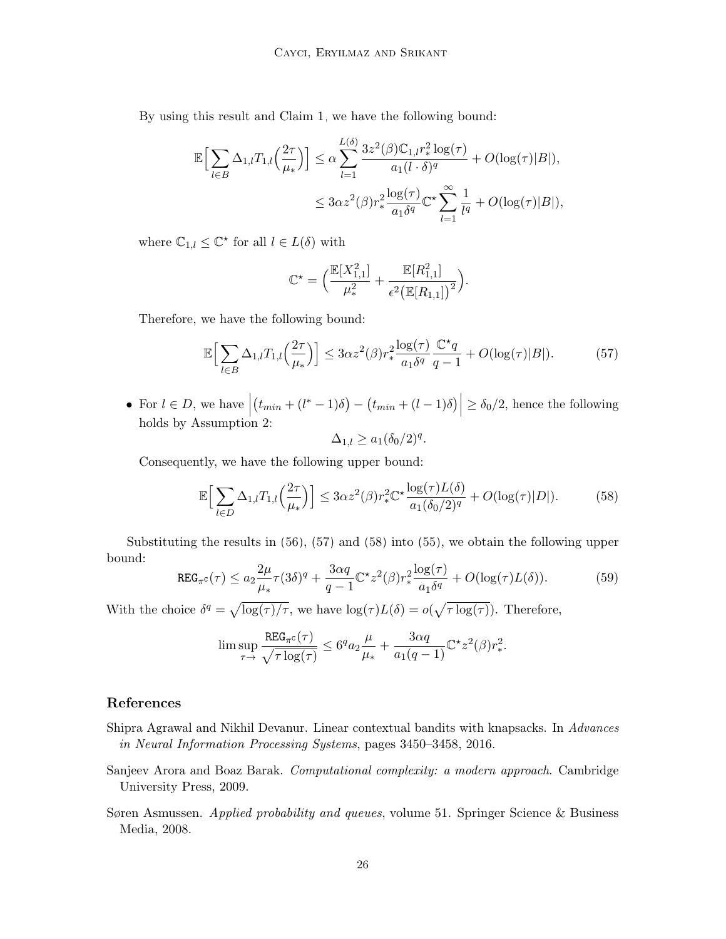By using this result and Claim [1,](#page-23-2) we have the following bound:

$$
\mathbb{E}\Big[\sum_{l\in B} \Delta_{1,l} T_{1,l} \Big(\frac{2\tau}{\mu_*}\Big)\Big] \leq \alpha \sum_{l=1}^{L(\delta)} \frac{3z^2(\beta)\mathbb{C}_{1,l}r_*^2 \log(\tau)}{a_1(l \cdot \delta)^q} + O(\log(\tau)|B|),
$$
  

$$
\leq 3\alpha z^2(\beta)r_*^2 \frac{\log(\tau)}{a_1 \delta^q} \mathbb{C}^\star \sum_{l=1}^\infty \frac{1}{l^q} + O(\log(\tau)|B|),
$$

where  $\mathbb{C}_{1,l} \leq \mathbb{C}^*$  for all  $l \in L(\delta)$  with

<span id="page-25-3"></span>
$$
\mathbb{C}^\star = \Big(\frac{\mathbb{E}[X_{1,1}^2]}{\mu_*^2} + \frac{\mathbb{E}[R_{1,1}^2]}{\epsilon^2 \big(\mathbb{E}[R_{1,1}]\big)^2}\Big)
$$

Therefore, we have the following bound:

$$
\mathbb{E}\Big[\sum_{l\in B} \Delta_{1,l} T_{1,l} \Big(\frac{2\tau}{\mu_*}\Big)\Big] \le 3\alpha z^2(\beta) r_*^2 \frac{\log(\tau)}{a_1 \delta^q} \frac{\mathbb{C}^* q}{q-1} + O(\log(\tau)|B|). \tag{57}
$$

.

• For  $l \in D$ , we have  $\left(t_{min} + (l^* - 1)\delta\right) - \left(t_{min} + (l - 1)\delta\right)$   $\geq \delta_0/2$ , hence the following holds by Assumption [2:](#page-14-0)

<span id="page-25-4"></span>
$$
\Delta_{1,l} \ge a_1(\delta_0/2)^q.
$$

Consequently, we have the following upper bound:

$$
\mathbb{E}\Big[\sum_{l\in D} \Delta_{1,l} T_{1,l} \Big(\frac{2\tau}{\mu_*}\Big)\Big] \le 3\alpha z^2(\beta) r_*^2 \mathbb{C}^\star \frac{\log(\tau) L(\delta)}{a_1(\delta_0/2)^q} + O(\log(\tau)|D|). \tag{58}
$$

Substituting the results in [\(56\)](#page-24-0), [\(57\)](#page-25-3) and [\(58\)](#page-25-4) into [\(55\)](#page-24-1), we obtain the following upper bound:

$$
\text{REG}_{\pi^{\mathbb{C}}}(\tau) \le a_2 \frac{2\mu}{\mu_*} \tau (3\delta)^q + \frac{3\alpha q}{q-1} \mathbb{C}^{\star} z^2(\beta) r_*^2 \frac{\log(\tau)}{a_1 \delta^q} + O(\log(\tau) L(\delta)).\tag{59}
$$

With the choice  $\delta^q = \sqrt{\log(\tau)/\tau}$ , we have  $\log(\tau)L(\delta) = o(\sqrt{\tau \log(\tau)})$ . Therefore,

$$
\limsup_{\tau \to} \frac{\texttt{REG}_{\pi^{\texttt{C}}}(\tau)}{\sqrt{\tau \log(\tau)}} \le 6^q a_2 \frac{\mu}{\mu_*} + \frac{3\alpha q}{a_1(q-1)} \mathbb{C}^{\star} z^2(\beta) r_*^2.
$$

## References

<span id="page-25-0"></span>Shipra Agrawal and Nikhil Devanur. Linear contextual bandits with knapsacks. In Advances in Neural Information Processing Systems, pages 3450–3458, 2016.

- <span id="page-25-1"></span>Sanjeev Arora and Boaz Barak. Computational complexity: a modern approach. Cambridge University Press, 2009.
- <span id="page-25-2"></span>Søren Asmussen. *Applied probability and queues*, volume 51. Springer Science & Business Media, 2008.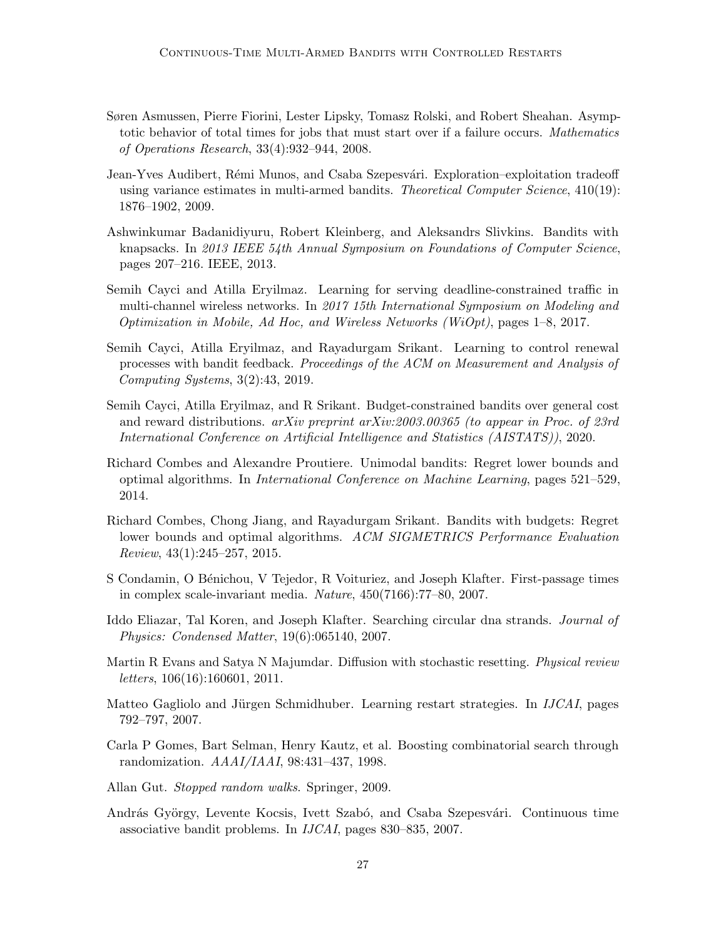- <span id="page-26-3"></span>Søren Asmussen, Pierre Fiorini, Lester Lipsky, Tomasz Rolski, and Robert Sheahan. Asymptotic behavior of total times for jobs that must start over if a failure occurs. Mathematics of Operations Research, 33(4):932–944, 2008.
- <span id="page-26-12"></span>Jean-Yves Audibert, Rémi Munos, and Csaba Szepesvári. Exploration–exploitation tradeoff using variance estimates in multi-armed bandits. *Theoretical Computer Science*, 410(19): 1876–1902, 2009.
- <span id="page-26-6"></span>Ashwinkumar Badanidiyuru, Robert Kleinberg, and Aleksandrs Slivkins. Bandits with knapsacks. In 2013 IEEE 54th Annual Symposium on Foundations of Computer Science, pages 207–216. IEEE, 2013.
- <span id="page-26-14"></span>Semih Cayci and Atilla Eryilmaz. Learning for serving deadline-constrained traffic in multi-channel wireless networks. In 2017 15th International Symposium on Modeling and Optimization in Mobile, Ad Hoc, and Wireless Networks (WiOpt), pages 1–8, 2017.
- <span id="page-26-10"></span>Semih Cayci, Atilla Eryilmaz, and Rayadurgam Srikant. Learning to control renewal processes with bandit feedback. Proceedings of the ACM on Measurement and Analysis of Computing Systems, 3(2):43, 2019.
- <span id="page-26-8"></span>Semih Cayci, Atilla Eryilmaz, and R Srikant. Budget-constrained bandits over general cost and reward distributions. arXiv preprint arXiv:2003.00365 (to appear in Proc. of 23rd International Conference on Artificial Intelligence and Statistics (AISTATS)), 2020.
- <span id="page-26-13"></span>Richard Combes and Alexandre Proutiere. Unimodal bandits: Regret lower bounds and optimal algorithms. In International Conference on Machine Learning, pages 521–529, 2014.
- <span id="page-26-7"></span>Richard Combes, Chong Jiang, and Rayadurgam Srikant. Bandits with budgets: Regret lower bounds and optimal algorithms. ACM SIGMETRICS Performance Evaluation Review, 43(1):245–257, 2015.
- <span id="page-26-0"></span>S Condamin, O Bénichou, V Tejedor, R Voituriez, and Joseph Klafter. First-passage times in complex scale-invariant media. Nature, 450(7166):77–80, 2007.
- <span id="page-26-2"></span>Iddo Eliazar, Tal Koren, and Joseph Klafter. Searching circular dna strands. Journal of Physics: Condensed Matter, 19(6):065140, 2007.
- <span id="page-26-1"></span>Martin R Evans and Satya N Majumdar. Diffusion with stochastic resetting. *Physical review* letters, 106(16):160601, 2011.
- <span id="page-26-9"></span>Matteo Gagliolo and Jürgen Schmidhuber. Learning restart strategies. In *IJCAI*, pages 792–797, 2007.
- <span id="page-26-4"></span>Carla P Gomes, Bart Selman, Henry Kautz, et al. Boosting combinatorial search through randomization. AAAI/IAAI, 98:431–437, 1998.
- <span id="page-26-11"></span>Allan Gut. Stopped random walks. Springer, 2009.
- <span id="page-26-5"></span>András György, Levente Kocsis, Ivett Szabó, and Csaba Szepesvári. Continuous time associative bandit problems. In IJCAI, pages 830–835, 2007.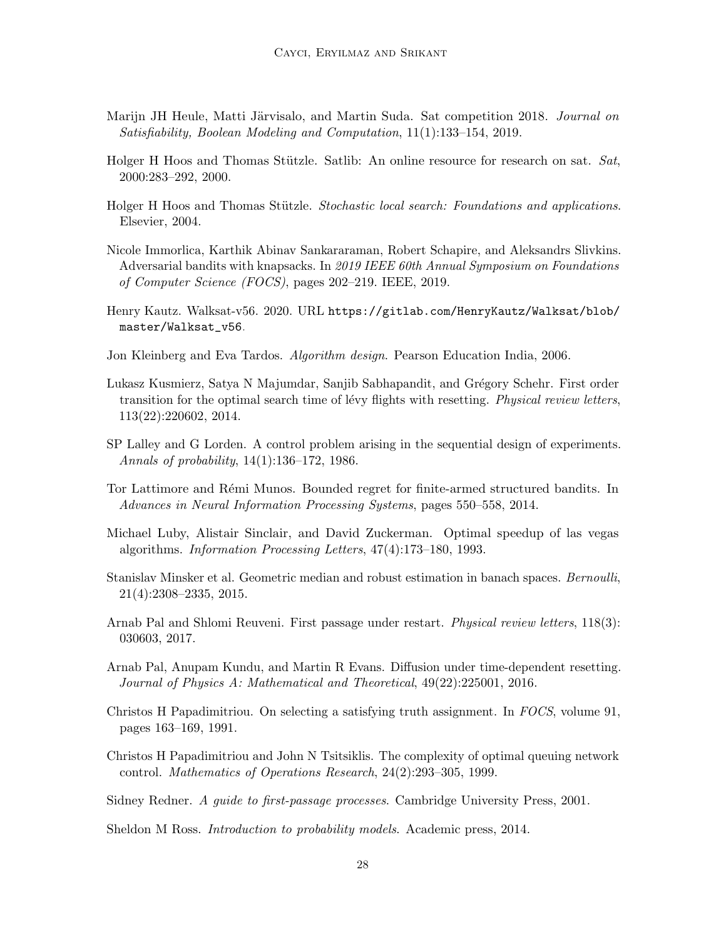- <span id="page-27-7"></span>Marijn JH Heule, Matti Järvisalo, and Martin Suda. Sat competition 2018. Journal on Satisfiability, Boolean Modeling and Computation, 11(1):133–154, 2019.
- <span id="page-27-14"></span>Holger H Hoos and Thomas Stützle. Satlib: An online resource for research on sat. Sat, 2000:283–292, 2000.
- <span id="page-27-4"></span>Holger H Hoos and Thomas Stützle. Stochastic local search: Foundations and applications. Elsevier, 2004.
- <span id="page-27-6"></span>Nicole Immorlica, Karthik Abinav Sankararaman, Robert Schapire, and Aleksandrs Slivkins. Adversarial bandits with knapsacks. In 2019 IEEE 60th Annual Symposium on Foundations of Computer Science (FOCS), pages 202–219. IEEE, 2019.
- <span id="page-27-12"></span>Henry Kautz. Walksat-v56. 2020. URL [https://gitlab.com/HenryKautz/Walksat/blob/](https://gitlab.com/HenryKautz/Walksat/blob/master/Walksat_v56) [master/Walksat\\_v56](https://gitlab.com/HenryKautz/Walksat/blob/master/Walksat_v56).
- <span id="page-27-9"></span>Jon Kleinberg and Eva Tardos. Algorithm design. Pearson Education India, 2006.
- <span id="page-27-3"></span>Lukasz Kusmierz, Satya N Majumdar, Sanjib Sabhapandit, and Grégory Schehr. First order transition for the optimal search time of lévy flights with resetting. *Physical review letters*, 113(22):220602, 2014.
- <span id="page-27-11"></span>SP Lalley and G Lorden. A control problem arising in the sequential design of experiments. Annals of probability, 14(1):136–172, 1986.
- <span id="page-27-16"></span>Tor Lattimore and Rémi Munos. Bounded regret for finite-armed structured bandits. In Advances in Neural Information Processing Systems, pages 550–558, 2014.
- <span id="page-27-5"></span>Michael Luby, Alistair Sinclair, and David Zuckerman. Optimal speedup of las vegas algorithms. Information Processing Letters, 47(4):173–180, 1993.
- <span id="page-27-15"></span>Stanislav Minsker et al. Geometric median and robust estimation in banach spaces. Bernoulli, 21(4):2308–2335, 2015.
- <span id="page-27-1"></span>Arnab Pal and Shlomi Reuveni. First passage under restart. Physical review letters, 118(3): 030603, 2017.
- <span id="page-27-2"></span>Arnab Pal, Anupam Kundu, and Martin R Evans. Diffusion under time-dependent resetting. Journal of Physics A: Mathematical and Theoretical, 49(22):225001, 2016.
- <span id="page-27-8"></span>Christos H Papadimitriou. On selecting a satisfying truth assignment. In FOCS, volume 91, pages 163–169, 1991.
- <span id="page-27-10"></span>Christos H Papadimitriou and John N Tsitsiklis. The complexity of optimal queuing network control. Mathematics of Operations Research, 24(2):293–305, 1999.

<span id="page-27-0"></span>Sidney Redner. A guide to first-passage processes. Cambridge University Press, 2001.

<span id="page-27-13"></span>Sheldon M Ross. *Introduction to probability models*. Academic press, 2014.